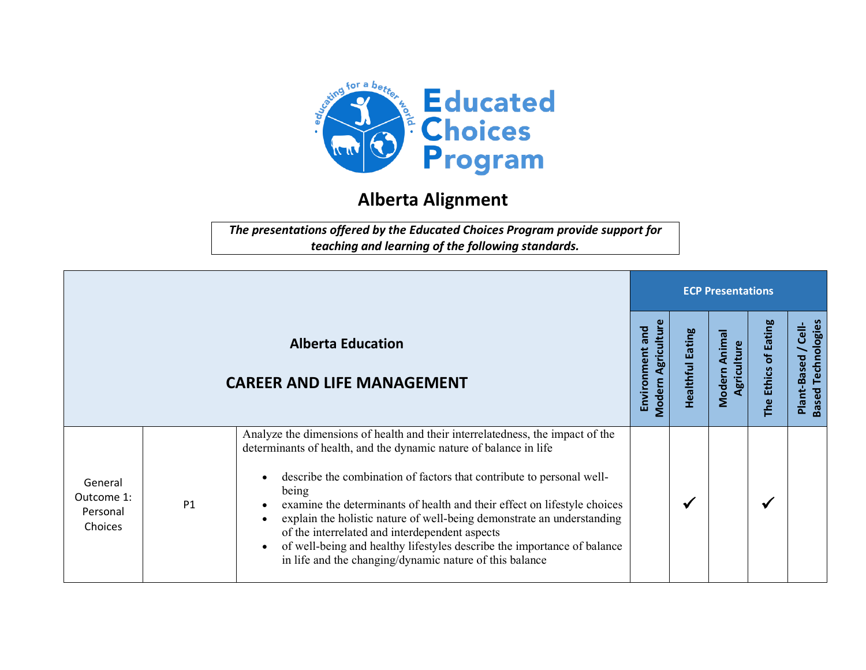

## **Alberta Alignment**

*The presentations offered by the Educated Choices Program provide support for teaching and learning of the following standards.*

|                                              |                |                                                                                                                                                                                                                                                                                                                                                                                                                                                                                                                                                                                                                                         | <b>ECP Presentations</b>                     |                  |                                |                         |                                                    |  |  |
|----------------------------------------------|----------------|-----------------------------------------------------------------------------------------------------------------------------------------------------------------------------------------------------------------------------------------------------------------------------------------------------------------------------------------------------------------------------------------------------------------------------------------------------------------------------------------------------------------------------------------------------------------------------------------------------------------------------------------|----------------------------------------------|------------------|--------------------------------|-------------------------|----------------------------------------------------|--|--|
|                                              |                | <b>Alberta Education</b><br><b>CAREER AND LIFE MANAGEMENT</b>                                                                                                                                                                                                                                                                                                                                                                                                                                                                                                                                                                           | <b>Modern Agriculture</b><br>Environment and | Healthful Eating | Anima<br>Agriculture<br>Modern | of Eating<br>The Ethics | Based Technologies<br>$\frac{1}{6}$<br>Plant-Based |  |  |
| General<br>Outcome 1:<br>Personal<br>Choices | P <sub>1</sub> | Analyze the dimensions of health and their interrelatedness, the impact of the<br>determinants of health, and the dynamic nature of balance in life<br>describe the combination of factors that contribute to personal well-<br>$\bullet$<br>being<br>examine the determinants of health and their effect on lifestyle choices<br>$\bullet$<br>explain the holistic nature of well-being demonstrate an understanding<br>$\bullet$<br>of the interrelated and interdependent aspects<br>of well-being and healthy lifestyles describe the importance of balance<br>$\bullet$<br>in life and the changing/dynamic nature of this balance |                                              | ✔                |                                | √                       |                                                    |  |  |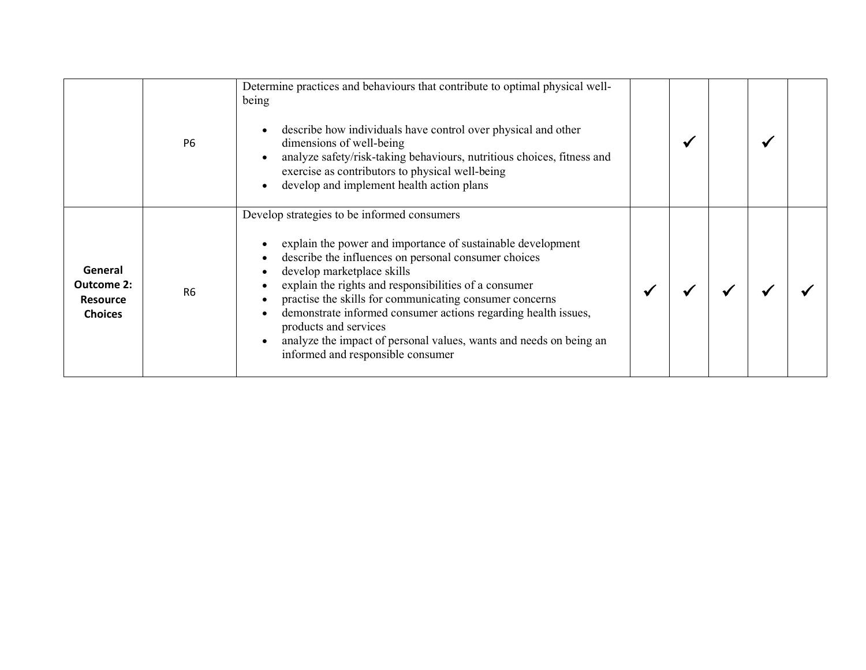|                                                                   | P <sub>6</sub> | Determine practices and behaviours that contribute to optimal physical well-<br>being<br>describe how individuals have control over physical and other<br>dimensions of well-being<br>analyze safety/risk-taking behaviours, nutritious choices, fitness and<br>exercise as contributors to physical well-being<br>develop and implement health action plans<br>$\bullet$                                                                                                                                                                            |  |  |  |
|-------------------------------------------------------------------|----------------|------------------------------------------------------------------------------------------------------------------------------------------------------------------------------------------------------------------------------------------------------------------------------------------------------------------------------------------------------------------------------------------------------------------------------------------------------------------------------------------------------------------------------------------------------|--|--|--|
| General<br><b>Outcome 2:</b><br><b>Resource</b><br><b>Choices</b> | R <sub>6</sub> | Develop strategies to be informed consumers<br>explain the power and importance of sustainable development<br>describe the influences on personal consumer choices<br>develop marketplace skills<br>$\bullet$<br>explain the rights and responsibilities of a consumer<br>practise the skills for communicating consumer concerns<br>demonstrate informed consumer actions regarding health issues,<br>$\bullet$<br>products and services<br>analyze the impact of personal values, wants and needs on being an<br>informed and responsible consumer |  |  |  |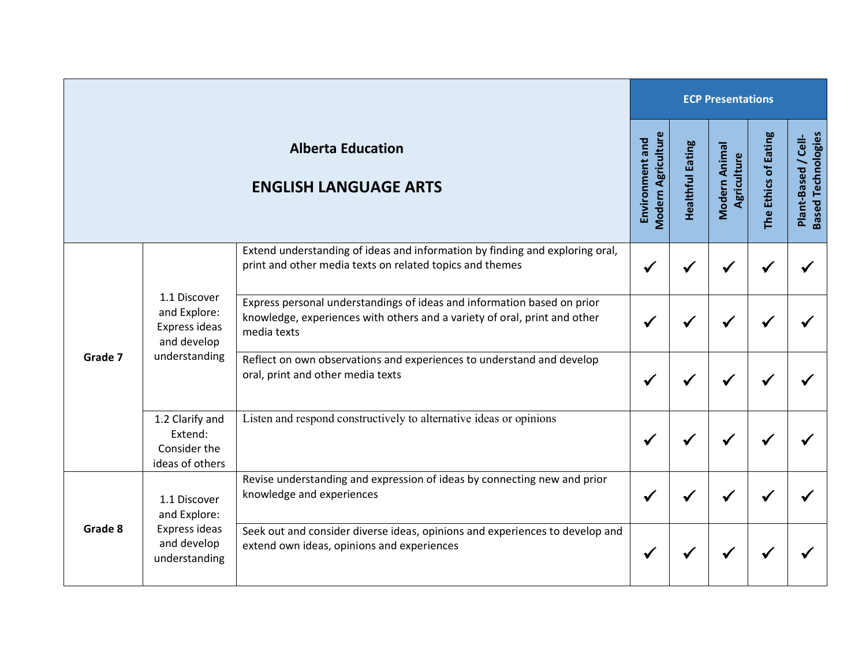|         |                                                                               |                                                                                                                                                                     | <b>ECP Presentations</b>                     |                         |                              |                      |                                                  |  |  |
|---------|-------------------------------------------------------------------------------|---------------------------------------------------------------------------------------------------------------------------------------------------------------------|----------------------------------------------|-------------------------|------------------------------|----------------------|--------------------------------------------------|--|--|
|         |                                                                               | <b>Alberta Education</b><br><b>ENGLISH LANGUAGE ARTS</b>                                                                                                            | <b>Modern Agriculture</b><br>Environment and | <b>Healthful Eating</b> | Modern Animal<br>Agriculture | The Ethics of Eating | <b>Based Technologies</b><br>Plant-Based / Cell- |  |  |
|         |                                                                               | Extend understanding of ideas and information by finding and exploring oral,<br>print and other media texts on related topics and themes                            | √                                            |                         |                              |                      |                                                  |  |  |
|         | 1.1 Discover<br>and Explore:<br>Express ideas<br>and develop<br>understanding | Express personal understandings of ideas and information based on prior<br>knowledge, experiences with others and a variety of oral, print and other<br>media texts |                                              |                         |                              |                      |                                                  |  |  |
| Grade 7 |                                                                               | Reflect on own observations and experiences to understand and develop<br>oral, print and other media texts                                                          |                                              |                         |                              |                      |                                                  |  |  |
|         | 1.2 Clarify and<br>Extend:<br>Consider the<br>ideas of others                 | Listen and respond constructively to alternative ideas or opinions                                                                                                  | √                                            |                         | ₩                            |                      |                                                  |  |  |
| Grade 8 | 1.1 Discover<br>and Explore:                                                  | Revise understanding and expression of ideas by connecting new and prior<br>knowledge and experiences                                                               |                                              |                         |                              |                      |                                                  |  |  |
|         | Express ideas<br>and develop<br>understanding                                 | Seek out and consider diverse ideas, opinions and experiences to develop and<br>extend own ideas, opinions and experiences                                          | ₩                                            |                         |                              |                      |                                                  |  |  |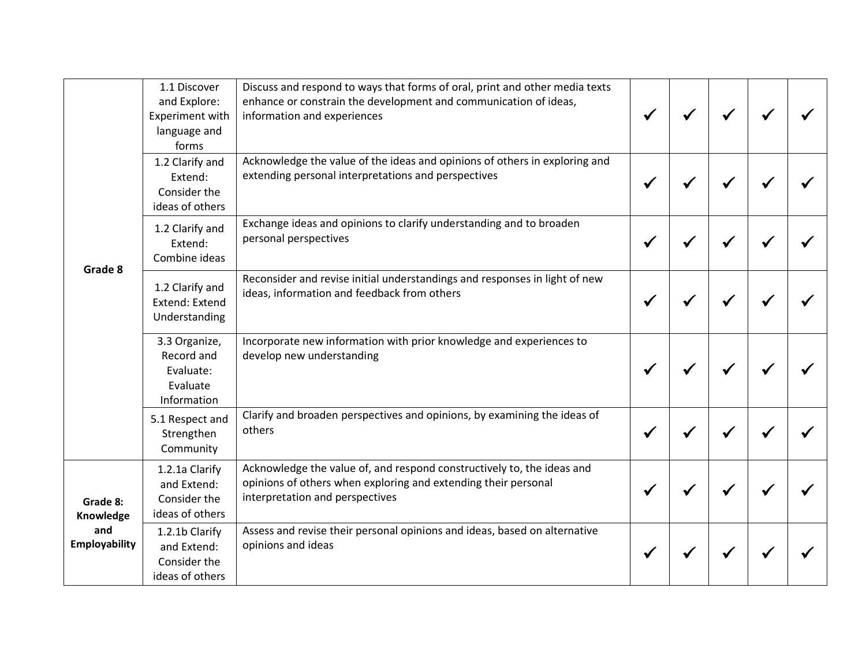| Grade 8<br>Grade 8:<br>Knowledge<br>and<br><b>Employability</b> | 1.1 Discover<br>and Explore:<br><b>Experiment with</b><br>language and<br>forms | Discuss and respond to ways that forms of oral, print and other media texts<br>enhance or constrain the development and communication of ideas,<br>information and experiences |  |  |  |
|-----------------------------------------------------------------|---------------------------------------------------------------------------------|--------------------------------------------------------------------------------------------------------------------------------------------------------------------------------|--|--|--|
|                                                                 | 1.2 Clarify and<br>Extend:<br>Consider the<br>ideas of others                   | Acknowledge the value of the ideas and opinions of others in exploring and<br>extending personal interpretations and perspectives                                              |  |  |  |
|                                                                 | 1.2 Clarify and<br>Extend:<br>Combine ideas                                     | Exchange ideas and opinions to clarify understanding and to broaden<br>personal perspectives                                                                                   |  |  |  |
|                                                                 | 1.2 Clarify and<br>Extend: Extend<br>Understanding                              | Reconsider and revise initial understandings and responses in light of new<br>ideas, information and feedback from others                                                      |  |  |  |
|                                                                 | 3.3 Organize,<br>Record and<br>Evaluate:<br>Evaluate<br>Information             | Incorporate new information with prior knowledge and experiences to<br>develop new understanding                                                                               |  |  |  |
|                                                                 | 5.1 Respect and<br>Strengthen<br>Community                                      | Clarify and broaden perspectives and opinions, by examining the ideas of<br>others                                                                                             |  |  |  |
|                                                                 | 1.2.1a Clarify<br>and Extend:<br>Consider the<br>ideas of others                | Acknowledge the value of, and respond constructively to, the ideas and<br>opinions of others when exploring and extending their personal<br>interpretation and perspectives    |  |  |  |
|                                                                 | 1.2.1b Clarify<br>and Extend:<br>Consider the<br>ideas of others                | Assess and revise their personal opinions and ideas, based on alternative<br>opinions and ideas                                                                                |  |  |  |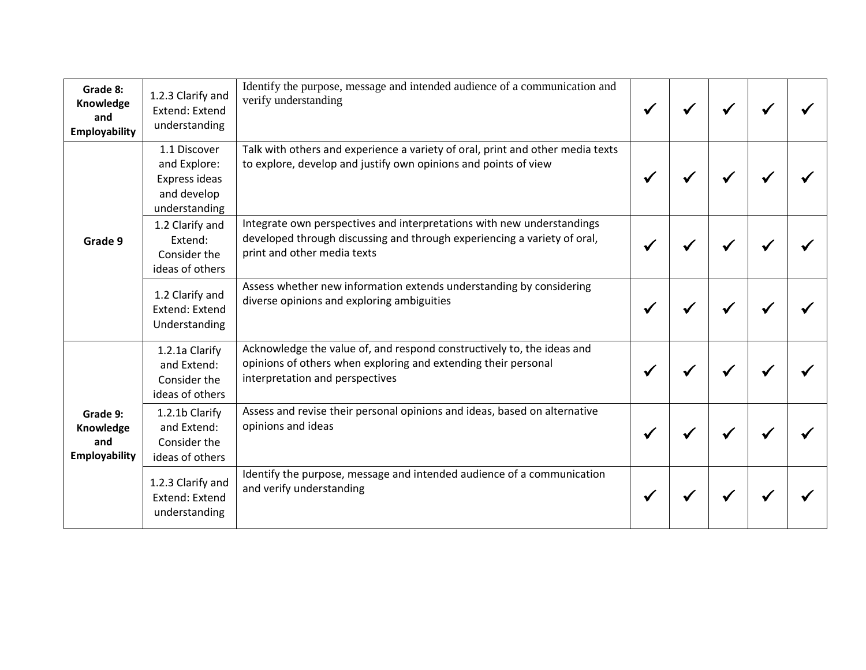| Grade 8:<br>Knowledge<br>and<br><b>Employability</b> | 1.2.3 Clarify and<br>Extend: Extend<br>understanding                          | Identify the purpose, message and intended audience of a communication and<br>verify understanding                                                                                |  |  |  |
|------------------------------------------------------|-------------------------------------------------------------------------------|-----------------------------------------------------------------------------------------------------------------------------------------------------------------------------------|--|--|--|
|                                                      | 1.1 Discover<br>and Explore:<br>Express ideas<br>and develop<br>understanding | Talk with others and experience a variety of oral, print and other media texts<br>to explore, develop and justify own opinions and points of view                                 |  |  |  |
| Grade 9                                              | 1.2 Clarify and<br>Extend:<br>Consider the<br>ideas of others                 | Integrate own perspectives and interpretations with new understandings<br>developed through discussing and through experiencing a variety of oral,<br>print and other media texts |  |  |  |
|                                                      | 1.2 Clarify and<br>Extend: Extend<br>Understanding                            | Assess whether new information extends understanding by considering<br>diverse opinions and exploring ambiguities                                                                 |  |  |  |
| Grade 9:<br>Knowledge<br>and<br>Employability        | 1.2.1a Clarify<br>and Extend:<br>Consider the<br>ideas of others              | Acknowledge the value of, and respond constructively to, the ideas and<br>opinions of others when exploring and extending their personal<br>interpretation and perspectives       |  |  |  |
|                                                      | 1.2.1b Clarify<br>and Extend:<br>Consider the<br>ideas of others              | Assess and revise their personal opinions and ideas, based on alternative<br>opinions and ideas                                                                                   |  |  |  |
|                                                      | 1.2.3 Clarify and<br>Extend: Extend<br>understanding                          | Identify the purpose, message and intended audience of a communication<br>and verify understanding                                                                                |  |  |  |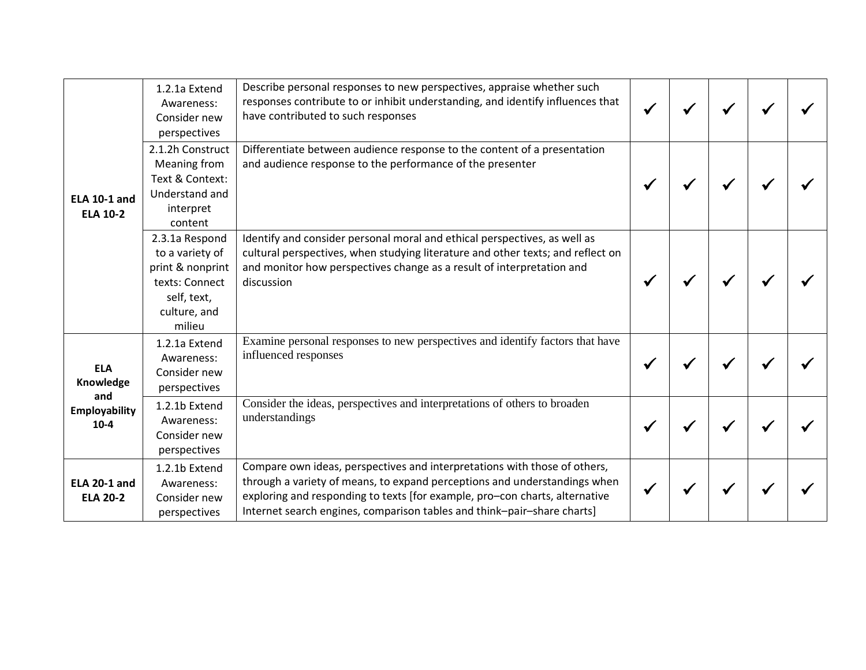| <b>ELA 10-1 and</b><br><b>ELA 10-2</b> | 1.2.1a Extend<br>Awareness:<br>Consider new<br>perspectives                                                      | Describe personal responses to new perspectives, appraise whether such<br>responses contribute to or inhibit understanding, and identify influences that<br>have contributed to such responses                                                                                                                   |  |  |  |
|----------------------------------------|------------------------------------------------------------------------------------------------------------------|------------------------------------------------------------------------------------------------------------------------------------------------------------------------------------------------------------------------------------------------------------------------------------------------------------------|--|--|--|
|                                        | 2.1.2h Construct<br>Meaning from<br>Text & Context:<br>Understand and<br>interpret<br>content                    | Differentiate between audience response to the content of a presentation<br>and audience response to the performance of the presenter                                                                                                                                                                            |  |  |  |
|                                        | 2.3.1a Respond<br>to a variety of<br>print & nonprint<br>texts: Connect<br>self, text,<br>culture, and<br>milieu | Identify and consider personal moral and ethical perspectives, as well as<br>cultural perspectives, when studying literature and other texts; and reflect on<br>and monitor how perspectives change as a result of interpretation and<br>discussion                                                              |  |  |  |
| <b>ELA</b><br>Knowledge                | 1.2.1a Extend<br>Awareness:<br>Consider new<br>perspectives                                                      | Examine personal responses to new perspectives and identify factors that have<br>influenced responses                                                                                                                                                                                                            |  |  |  |
| and<br>Employability<br>$10-4$         | 1.2.1b Extend<br>Awareness:<br>Consider new<br>perspectives                                                      | Consider the ideas, perspectives and interpretations of others to broaden<br>understandings                                                                                                                                                                                                                      |  |  |  |
| <b>ELA 20-1 and</b><br><b>ELA 20-2</b> | 1.2.1b Extend<br>Awareness:<br>Consider new<br>perspectives                                                      | Compare own ideas, perspectives and interpretations with those of others,<br>through a variety of means, to expand perceptions and understandings when<br>exploring and responding to texts [for example, pro-con charts, alternative<br>Internet search engines, comparison tables and think-pair-share charts] |  |  |  |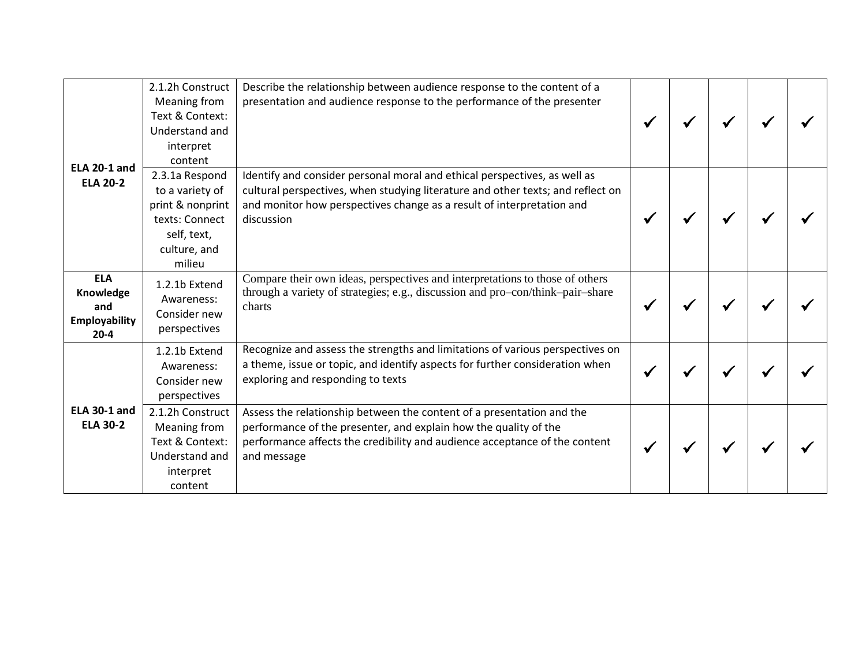|                                                                    | 2.1.2h Construct<br>Meaning from<br>Text & Context:<br>Understand and<br>interpret<br>content                    | Describe the relationship between audience response to the content of a<br>presentation and audience response to the performance of the presenter                                                                                                   |  |  |  |
|--------------------------------------------------------------------|------------------------------------------------------------------------------------------------------------------|-----------------------------------------------------------------------------------------------------------------------------------------------------------------------------------------------------------------------------------------------------|--|--|--|
| <b>ELA 20-1 and</b><br><b>ELA 20-2</b>                             | 2.3.1a Respond<br>to a variety of<br>print & nonprint<br>texts: Connect<br>self, text,<br>culture, and<br>milieu | Identify and consider personal moral and ethical perspectives, as well as<br>cultural perspectives, when studying literature and other texts; and reflect on<br>and monitor how perspectives change as a result of interpretation and<br>discussion |  |  |  |
| <b>ELA</b><br>Knowledge<br>and<br><b>Employability</b><br>$20 - 4$ | 1.2.1b Extend<br>Awareness:<br>Consider new<br>perspectives                                                      | Compare their own ideas, perspectives and interpretations to those of others<br>through a variety of strategies; e.g., discussion and pro-con/think-pair-share<br>charts                                                                            |  |  |  |
|                                                                    | 1.2.1b Extend<br>Awareness:<br>Consider new<br>perspectives                                                      | Recognize and assess the strengths and limitations of various perspectives on<br>a theme, issue or topic, and identify aspects for further consideration when<br>exploring and responding to texts                                                  |  |  |  |
| <b>ELA 30-1 and</b><br><b>ELA 30-2</b>                             | 2.1.2h Construct<br>Meaning from<br>Text & Context:<br>Understand and<br>interpret<br>content                    | Assess the relationship between the content of a presentation and the<br>performance of the presenter, and explain how the quality of the<br>performance affects the credibility and audience acceptance of the content<br>and message              |  |  |  |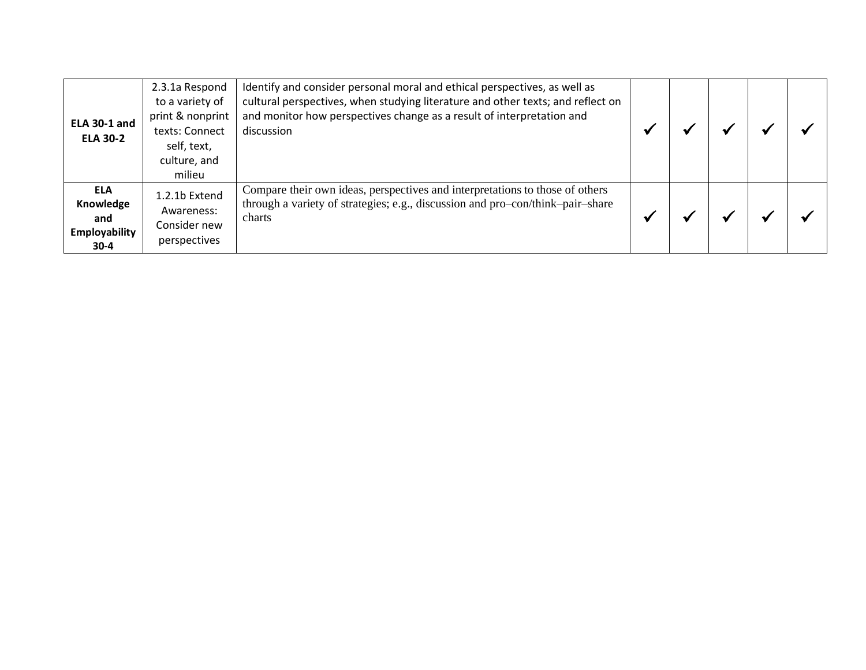| <b>ELA 30-1 and</b><br><b>ELA 30-2</b>                    | 2.3.1a Respond<br>to a variety of<br>print & nonprint<br>texts: Connect<br>self, text,<br>culture, and<br>milieu | Identify and consider personal moral and ethical perspectives, as well as<br>cultural perspectives, when studying literature and other texts; and reflect on<br>and monitor how perspectives change as a result of interpretation and<br>discussion |  |  |  |
|-----------------------------------------------------------|------------------------------------------------------------------------------------------------------------------|-----------------------------------------------------------------------------------------------------------------------------------------------------------------------------------------------------------------------------------------------------|--|--|--|
| <b>ELA</b><br>Knowledge<br>and<br>Employability<br>$30-4$ | 1.2.1b Extend<br>Awareness:<br>Consider new<br>perspectives                                                      | Compare their own ideas, perspectives and interpretations to those of others<br>through a variety of strategies; e.g., discussion and pro-con/think-pair-share<br>charts                                                                            |  |  |  |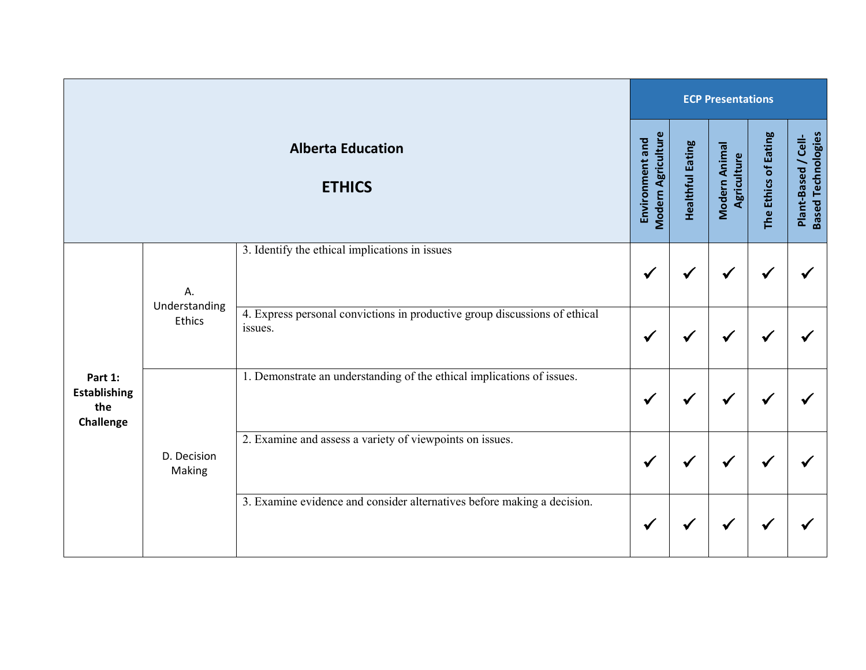|                                                    |                       |                                                                                       |                                              |                         | <b>ECP Presentations</b>     |                      |                                                  |  |  |  |  |  |
|----------------------------------------------------|-----------------------|---------------------------------------------------------------------------------------|----------------------------------------------|-------------------------|------------------------------|----------------------|--------------------------------------------------|--|--|--|--|--|
|                                                    |                       | <b>Alberta Education</b><br><b>ETHICS</b>                                             | <b>Modern Agriculture</b><br>Environment and | <b>Healthful Eating</b> | Modern Animal<br>Agriculture | The Ethics of Eating | <b>Based Technologies</b><br>Plant-Based / Cell- |  |  |  |  |  |
|                                                    | А.<br>Understanding   | 3. Identify the ethical implications in issues                                        | ✔                                            | $\checkmark$            | ✔                            | $\checkmark$         |                                                  |  |  |  |  |  |
|                                                    | <b>Ethics</b>         | 4. Express personal convictions in productive group discussions of ethical<br>issues. | √                                            | √                       |                              | ✔                    |                                                  |  |  |  |  |  |
| Part 1:<br><b>Establishing</b><br>the<br>Challenge |                       | 1. Demonstrate an understanding of the ethical implications of issues.                | ✔                                            | $\checkmark$            | ✔                            | $\checkmark$         |                                                  |  |  |  |  |  |
|                                                    | D. Decision<br>Making | 2. Examine and assess a variety of viewpoints on issues.                              | √                                            | √                       | ✔                            | ✔                    |                                                  |  |  |  |  |  |
|                                                    |                       | 3. Examine evidence and consider alternatives before making a decision.               | ✔                                            | $\checkmark$            | ✔                            | $\checkmark$         |                                                  |  |  |  |  |  |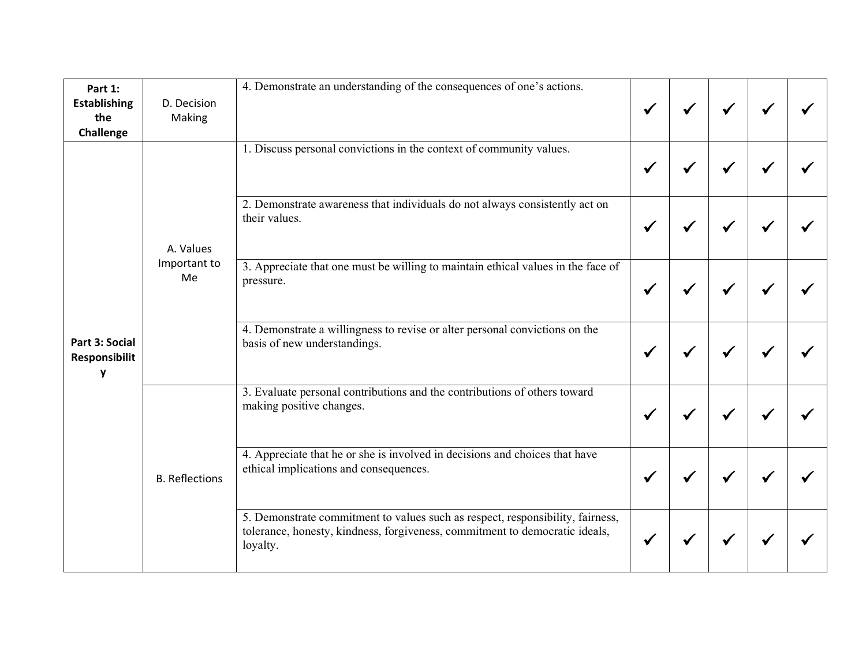| Part 1:<br><b>Establishing</b><br>the<br>Challenge | D. Decision<br>Making | 4. Demonstrate an understanding of the consequences of one's actions.                                                                                                     |  |  |  |
|----------------------------------------------------|-----------------------|---------------------------------------------------------------------------------------------------------------------------------------------------------------------------|--|--|--|
|                                                    |                       | 1. Discuss personal convictions in the context of community values.                                                                                                       |  |  |  |
|                                                    | A. Values             | 2. Demonstrate awareness that individuals do not always consistently act on<br>their values.                                                                              |  |  |  |
|                                                    | Important to<br>Me    | 3. Appreciate that one must be willing to maintain ethical values in the face of<br>pressure.                                                                             |  |  |  |
| Part 3: Social<br>Responsibilit<br>۷               |                       | 4. Demonstrate a willingness to revise or alter personal convictions on the<br>basis of new understandings.                                                               |  |  |  |
|                                                    |                       | 3. Evaluate personal contributions and the contributions of others toward<br>making positive changes.                                                                     |  |  |  |
|                                                    | <b>B.</b> Reflections | 4. Appreciate that he or she is involved in decisions and choices that have<br>ethical implications and consequences.                                                     |  |  |  |
|                                                    |                       | 5. Demonstrate commitment to values such as respect, responsibility, fairness,<br>tolerance, honesty, kindness, forgiveness, commitment to democratic ideals,<br>loyalty. |  |  |  |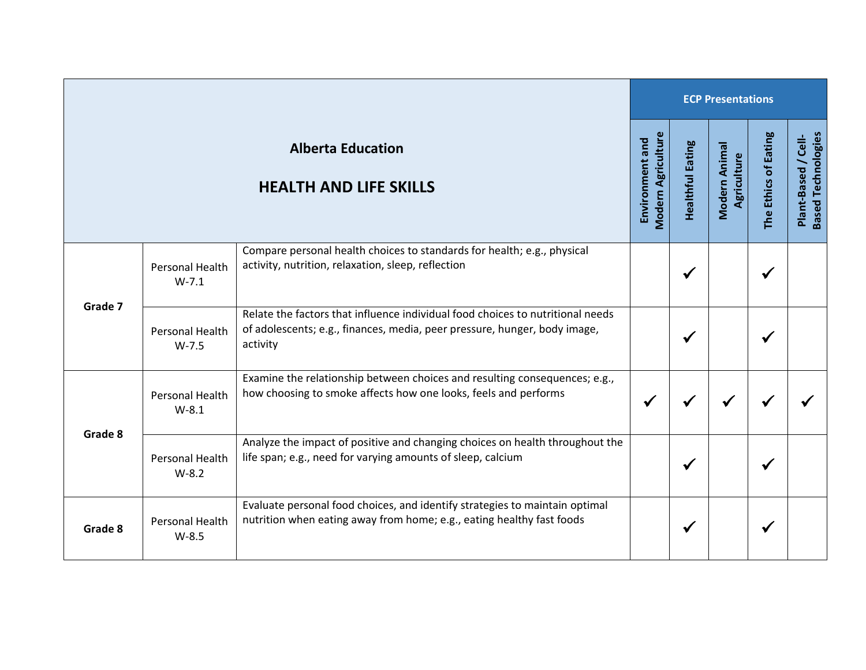|         |                            |                                                                                                                                                                         | <b>ECP Presentations</b>                     |                         |                              |                      |                                                  |  |  |
|---------|----------------------------|-------------------------------------------------------------------------------------------------------------------------------------------------------------------------|----------------------------------------------|-------------------------|------------------------------|----------------------|--------------------------------------------------|--|--|
|         |                            | <b>Alberta Education</b><br><b>HEALTH AND LIFE SKILLS</b>                                                                                                               | <b>Modern Agriculture</b><br>Environment and | <b>Healthful Eating</b> | Modern Animal<br>Agriculture | The Ethics of Eating | <b>Based Technologies</b><br>Plant-Based / Cell- |  |  |
| Grade 7 | Personal Health<br>$W-7.1$ | Compare personal health choices to standards for health; e.g., physical<br>activity, nutrition, relaxation, sleep, reflection                                           |                                              | $\checkmark$            |                              | ✔                    |                                                  |  |  |
|         | Personal Health<br>$W-7.5$ | Relate the factors that influence individual food choices to nutritional needs<br>of adolescents; e.g., finances, media, peer pressure, hunger, body image,<br>activity |                                              | $\checkmark$            |                              | ✔                    |                                                  |  |  |
|         | Personal Health<br>$W-8.1$ | Examine the relationship between choices and resulting consequences; e.g.,<br>how choosing to smoke affects how one looks, feels and performs                           | $\checkmark$                                 | ✔                       |                              | ✔                    |                                                  |  |  |
| Grade 8 | Personal Health<br>$W-8.2$ | Analyze the impact of positive and changing choices on health throughout the<br>life span; e.g., need for varying amounts of sleep, calcium                             |                                              | ✔                       |                              | ✔                    |                                                  |  |  |
| Grade 8 | Personal Health<br>$W-8.5$ | Evaluate personal food choices, and identify strategies to maintain optimal<br>nutrition when eating away from home; e.g., eating healthy fast foods                    |                                              | ✔                       |                              | ✔                    |                                                  |  |  |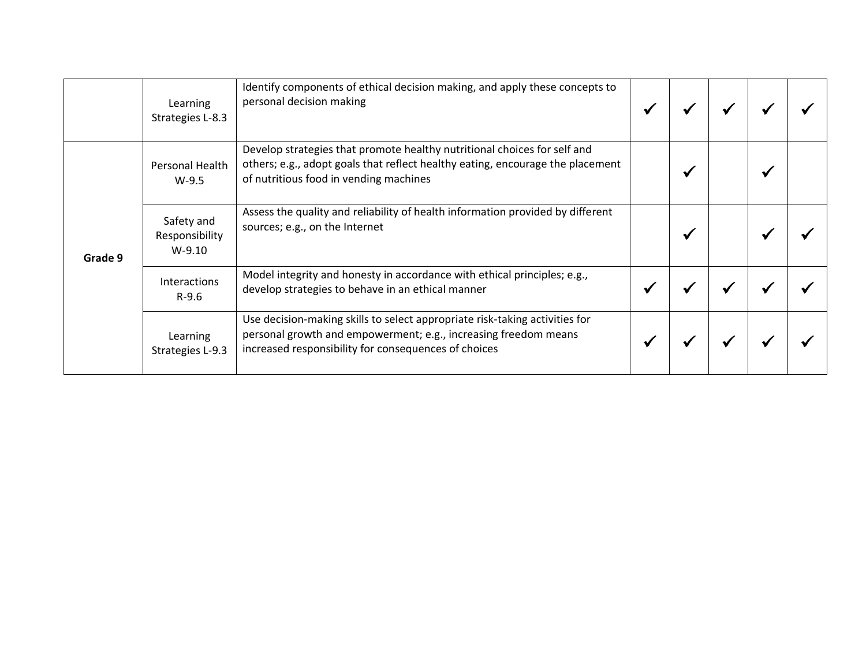|         | Learning<br>Strategies L-8.3             | Identify components of ethical decision making, and apply these concepts to<br>personal decision making                                                                                                |  |  |  |
|---------|------------------------------------------|--------------------------------------------------------------------------------------------------------------------------------------------------------------------------------------------------------|--|--|--|
| Grade 9 | Personal Health<br>$W-9.5$               | Develop strategies that promote healthy nutritional choices for self and<br>others; e.g., adopt goals that reflect healthy eating, encourage the placement<br>of nutritious food in vending machines   |  |  |  |
|         | Safety and<br>Responsibility<br>$W-9.10$ | Assess the quality and reliability of health information provided by different<br>sources; e.g., on the Internet                                                                                       |  |  |  |
|         | Interactions<br>$R-9.6$                  | Model integrity and honesty in accordance with ethical principles; e.g.,<br>develop strategies to behave in an ethical manner                                                                          |  |  |  |
|         | Learning<br>Strategies L-9.3             | Use decision-making skills to select appropriate risk-taking activities for<br>personal growth and empowerment; e.g., increasing freedom means<br>increased responsibility for consequences of choices |  |  |  |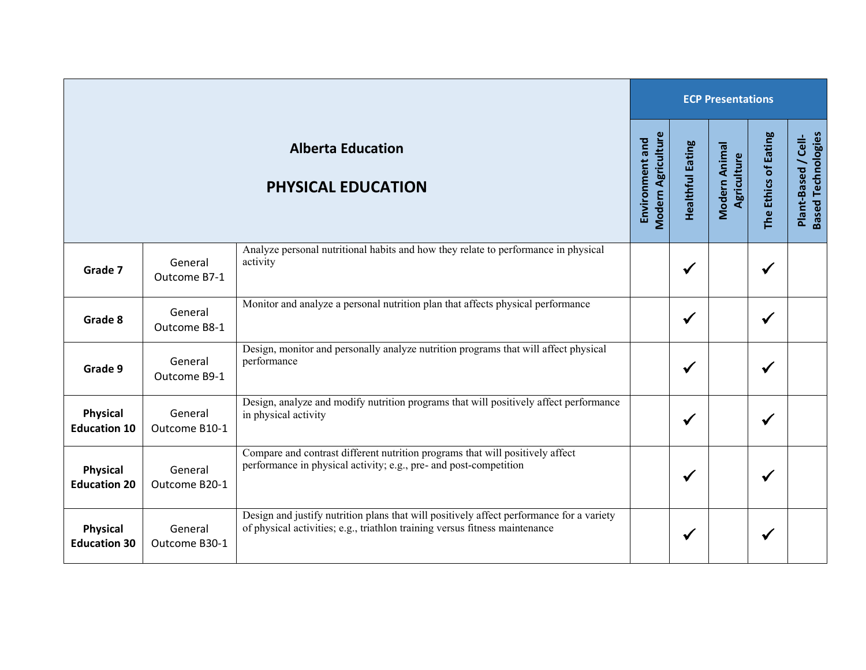| <b>ECP Presentations</b>               |                          |                                                                                                                                                                         |                                              |                         |                              |                      |                                                  |
|----------------------------------------|--------------------------|-------------------------------------------------------------------------------------------------------------------------------------------------------------------------|----------------------------------------------|-------------------------|------------------------------|----------------------|--------------------------------------------------|
|                                        |                          | <b>Alberta Education</b><br><b>PHYSICAL EDUCATION</b>                                                                                                                   | <b>Modern Agriculture</b><br>Environment and | <b>Healthful Eating</b> | Modern Animal<br>Agriculture | The Ethics of Eating | <b>Based Technologies</b><br>Plant-Based / Cell- |
| Grade 7                                | General<br>Outcome B7-1  | Analyze personal nutritional habits and how they relate to performance in physical<br>activity                                                                          |                                              | $\checkmark$            |                              | $\checkmark$         |                                                  |
| Grade 8                                | General<br>Outcome B8-1  | Monitor and analyze a personal nutrition plan that affects physical performance                                                                                         |                                              | $\checkmark$            |                              | $\checkmark$         |                                                  |
| Grade 9                                | General<br>Outcome B9-1  | Design, monitor and personally analyze nutrition programs that will affect physical<br>performance                                                                      |                                              | $\checkmark$            |                              | $\checkmark$         |                                                  |
| <b>Physical</b><br><b>Education 10</b> | General<br>Outcome B10-1 | Design, analyze and modify nutrition programs that will positively affect performance<br>in physical activity                                                           |                                              | $\checkmark$            |                              | $\checkmark$         |                                                  |
| Physical<br><b>Education 20</b>        | General<br>Outcome B20-1 | Compare and contrast different nutrition programs that will positively affect<br>performance in physical activity; e.g., pre- and post-competition                      |                                              | $\checkmark$            |                              | $\checkmark$         |                                                  |
| <b>Physical</b><br><b>Education 30</b> | General<br>Outcome B30-1 | Design and justify nutrition plans that will positively affect performance for a variety<br>of physical activities; e.g., triathlon training versus fitness maintenance |                                              | $\checkmark$            |                              | $\checkmark$         |                                                  |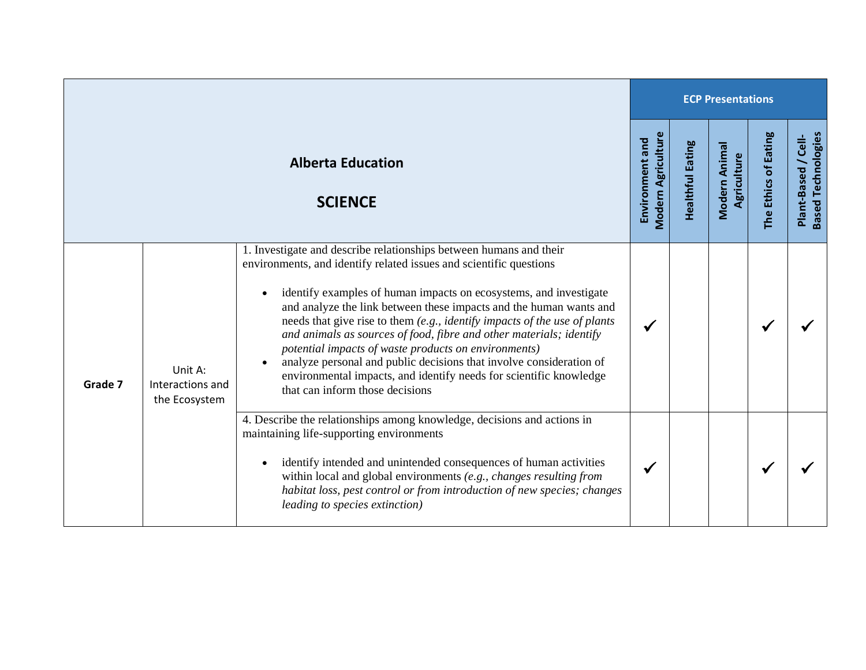|         |                                              |                                                                                                                                                                                                                                                                                                                                                                                                                                                                                                                                                                                                                                                                                              |                                              |                         | <b>ECP Presentations</b>            |                      |                                                       |
|---------|----------------------------------------------|----------------------------------------------------------------------------------------------------------------------------------------------------------------------------------------------------------------------------------------------------------------------------------------------------------------------------------------------------------------------------------------------------------------------------------------------------------------------------------------------------------------------------------------------------------------------------------------------------------------------------------------------------------------------------------------------|----------------------------------------------|-------------------------|-------------------------------------|----------------------|-------------------------------------------------------|
|         |                                              | <b>Alberta Education</b><br><b>SCIENCE</b>                                                                                                                                                                                                                                                                                                                                                                                                                                                                                                                                                                                                                                                   | <b>Modern Agriculture</b><br>Environment and | <b>Healthful Eating</b> | Modern Animal<br><b>Agriculture</b> | The Ethics of Eating | <b>Based Technologies</b><br>$/$ Cell-<br>Plant-Based |
| Grade 7 | Unit A:<br>Interactions and<br>the Ecosystem | 1. Investigate and describe relationships between humans and their<br>environments, and identify related issues and scientific questions<br>identify examples of human impacts on ecosystems, and investigate<br>$\bullet$<br>and analyze the link between these impacts and the human wants and<br>needs that give rise to them (e.g., identify impacts of the use of plants<br>and animals as sources of food, fibre and other materials; identify<br>potential impacts of waste products on environments)<br>analyze personal and public decisions that involve consideration of<br>environmental impacts, and identify needs for scientific knowledge<br>that can inform those decisions | $\checkmark$                                 |                         |                                     |                      |                                                       |
|         |                                              | 4. Describe the relationships among knowledge, decisions and actions in<br>maintaining life-supporting environments<br>identify intended and unintended consequences of human activities<br>$\bullet$<br>within local and global environments (e.g., changes resulting from<br>habitat loss, pest control or from introduction of new species; changes<br>leading to species extinction)                                                                                                                                                                                                                                                                                                     | $\checkmark$                                 |                         |                                     | ✔                    |                                                       |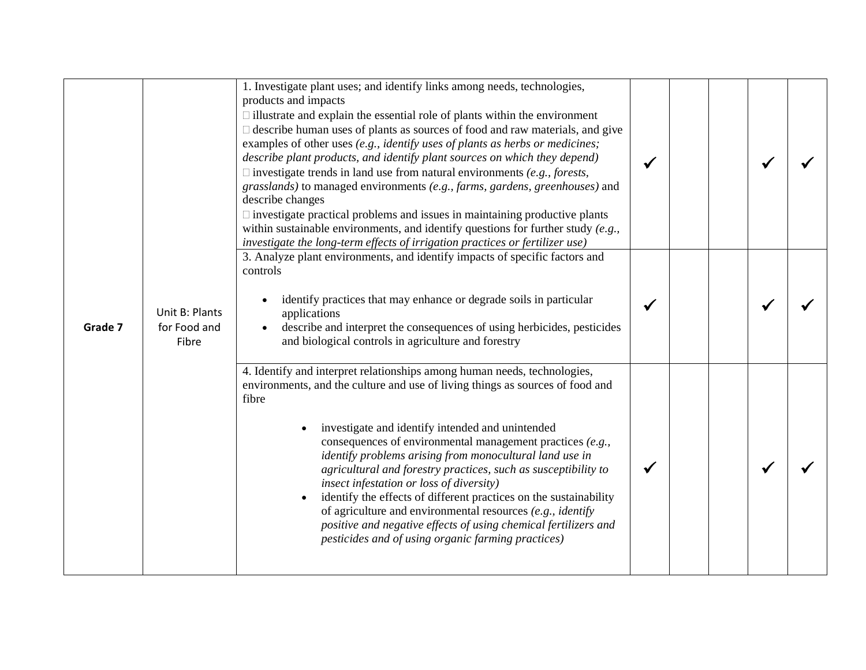|         |                                         | 1. Investigate plant uses; and identify links among needs, technologies,<br>products and impacts<br>$\Box$ illustrate and explain the essential role of plants within the environment<br>$\Box$ describe human uses of plants as sources of food and raw materials, and give<br>examples of other uses (e.g., identify uses of plants as herbs or medicines;<br>describe plant products, and identify plant sources on which they depend)<br>$\Box$ investigate trends in land use from natural environments (e.g., forests,<br>grasslands) to managed environments (e.g., farms, gardens, greenhouses) and<br>describe changes<br>$\Box$ investigate practical problems and issues in maintaining productive plants<br>within sustainable environments, and identify questions for further study $(e.g.,)$<br>investigate the long-term effects of irrigation practices or fertilizer use) |  |  |
|---------|-----------------------------------------|---------------------------------------------------------------------------------------------------------------------------------------------------------------------------------------------------------------------------------------------------------------------------------------------------------------------------------------------------------------------------------------------------------------------------------------------------------------------------------------------------------------------------------------------------------------------------------------------------------------------------------------------------------------------------------------------------------------------------------------------------------------------------------------------------------------------------------------------------------------------------------------------|--|--|
| Grade 7 | Unit B: Plants<br>for Food and<br>Fibre | 3. Analyze plant environments, and identify impacts of specific factors and<br>controls<br>identify practices that may enhance or degrade soils in particular<br>$\bullet$<br>applications<br>describe and interpret the consequences of using herbicides, pesticides<br>and biological controls in agriculture and forestry                                                                                                                                                                                                                                                                                                                                                                                                                                                                                                                                                                |  |  |
|         |                                         | 4. Identify and interpret relationships among human needs, technologies,<br>environments, and the culture and use of living things as sources of food and<br>fibre<br>investigate and identify intended and unintended<br>consequences of environmental management practices $(e.g.,$<br>identify problems arising from monocultural land use in<br>agricultural and forestry practices, such as susceptibility to<br>insect infestation or loss of diversity)<br>identify the effects of different practices on the sustainability<br>of agriculture and environmental resources $(e.g., identity)$<br>positive and negative effects of using chemical fertilizers and<br>pesticides and of using organic farming practices)                                                                                                                                                               |  |  |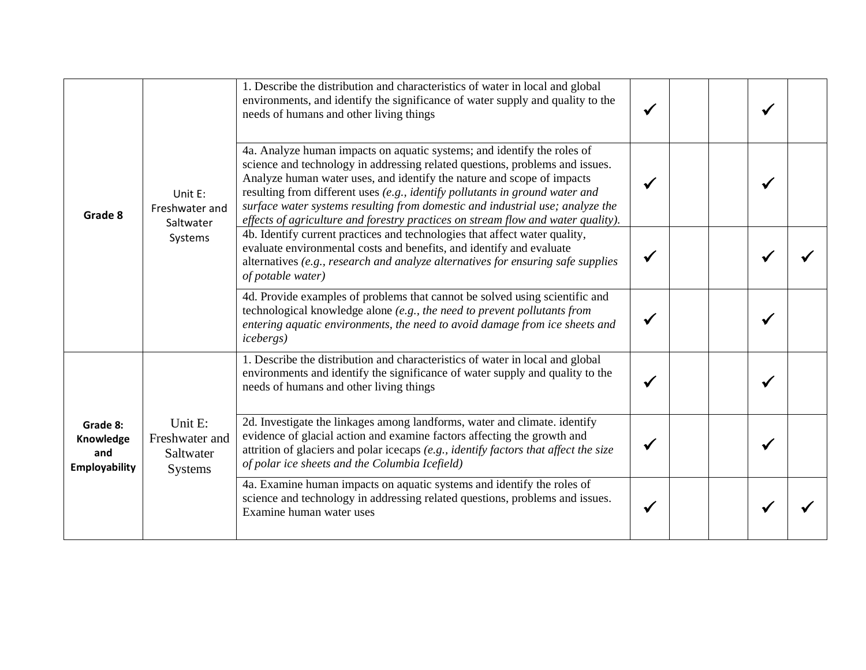| Grade 8                                              |                                                          | 1. Describe the distribution and characteristics of water in local and global<br>environments, and identify the significance of water supply and quality to the<br>needs of humans and other living things                                                                                                                                                                                                                                                                             |  |              |  |
|------------------------------------------------------|----------------------------------------------------------|----------------------------------------------------------------------------------------------------------------------------------------------------------------------------------------------------------------------------------------------------------------------------------------------------------------------------------------------------------------------------------------------------------------------------------------------------------------------------------------|--|--------------|--|
|                                                      | Unit E:<br>Freshwater and<br>Saltwater                   | 4a. Analyze human impacts on aquatic systems; and identify the roles of<br>science and technology in addressing related questions, problems and issues.<br>Analyze human water uses, and identify the nature and scope of impacts<br>resulting from different uses (e.g., identify pollutants in ground water and<br>surface water systems resulting from domestic and industrial use; analyze the<br>effects of agriculture and forestry practices on stream flow and water quality). |  | $\checkmark$ |  |
|                                                      | Systems                                                  | 4b. Identify current practices and technologies that affect water quality,<br>evaluate environmental costs and benefits, and identify and evaluate<br>alternatives (e.g., research and analyze alternatives for ensuring safe supplies<br>of potable water)                                                                                                                                                                                                                            |  |              |  |
|                                                      |                                                          | 4d. Provide examples of problems that cannot be solved using scientific and<br>technological knowledge alone (e.g., the need to prevent pollutants from<br>entering aquatic environments, the need to avoid damage from ice sheets and<br><i>icebergs</i> )                                                                                                                                                                                                                            |  |              |  |
|                                                      |                                                          | 1. Describe the distribution and characteristics of water in local and global<br>environments and identify the significance of water supply and quality to the<br>needs of humans and other living things                                                                                                                                                                                                                                                                              |  |              |  |
| Grade 8:<br>Knowledge<br>and<br><b>Employability</b> | Unit E:<br>Freshwater and<br>Saltwater<br><b>Systems</b> | 2d. Investigate the linkages among landforms, water and climate. identify<br>evidence of glacial action and examine factors affecting the growth and<br>attrition of glaciers and polar icecaps (e.g., identify factors that affect the size<br>of polar ice sheets and the Columbia Icefield)                                                                                                                                                                                         |  |              |  |
|                                                      |                                                          | 4a. Examine human impacts on aquatic systems and identify the roles of<br>science and technology in addressing related questions, problems and issues.<br>Examine human water uses                                                                                                                                                                                                                                                                                                     |  |              |  |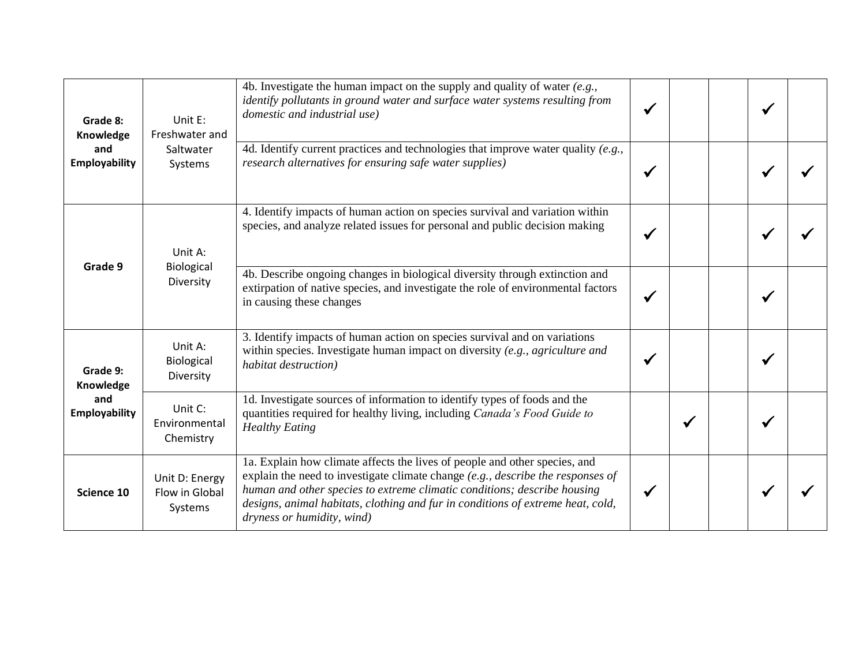| Grade 8:<br>Knowledge       | Unit E:<br>Freshwater and                   | 4b. Investigate the human impact on the supply and quality of water $(e.g.,$<br>identify pollutants in ground water and surface water systems resulting from<br>domestic and industrial use)                                                                                                                                                                 |  |  |  |
|-----------------------------|---------------------------------------------|--------------------------------------------------------------------------------------------------------------------------------------------------------------------------------------------------------------------------------------------------------------------------------------------------------------------------------------------------------------|--|--|--|
| and<br><b>Employability</b> | Saltwater<br>Systems                        | 4d. Identify current practices and technologies that improve water quality $(e.g., )$<br>research alternatives for ensuring safe water supplies)                                                                                                                                                                                                             |  |  |  |
|                             | Unit A:                                     | 4. Identify impacts of human action on species survival and variation within<br>species, and analyze related issues for personal and public decision making                                                                                                                                                                                                  |  |  |  |
| Grade 9                     | Biological<br>Diversity                     | 4b. Describe ongoing changes in biological diversity through extinction and<br>extirpation of native species, and investigate the role of environmental factors<br>in causing these changes                                                                                                                                                                  |  |  |  |
| Grade 9:<br>Knowledge       | Unit A:<br>Biological<br>Diversity          | 3. Identify impacts of human action on species survival and on variations<br>within species. Investigate human impact on diversity (e.g., agriculture and<br>habitat destruction)                                                                                                                                                                            |  |  |  |
| and<br><b>Employability</b> | Unit C:<br>Environmental<br>Chemistry       | 1d. Investigate sources of information to identify types of foods and the<br>quantities required for healthy living, including <i>Canada's Food Guide to</i><br><b>Healthy Eating</b>                                                                                                                                                                        |  |  |  |
| Science 10                  | Unit D: Energy<br>Flow in Global<br>Systems | 1a. Explain how climate affects the lives of people and other species, and<br>explain the need to investigate climate change $(e.g., describe the responses of$<br>human and other species to extreme climatic conditions; describe housing<br>designs, animal habitats, clothing and fur in conditions of extreme heat, cold,<br>dryness or humidity, wind) |  |  |  |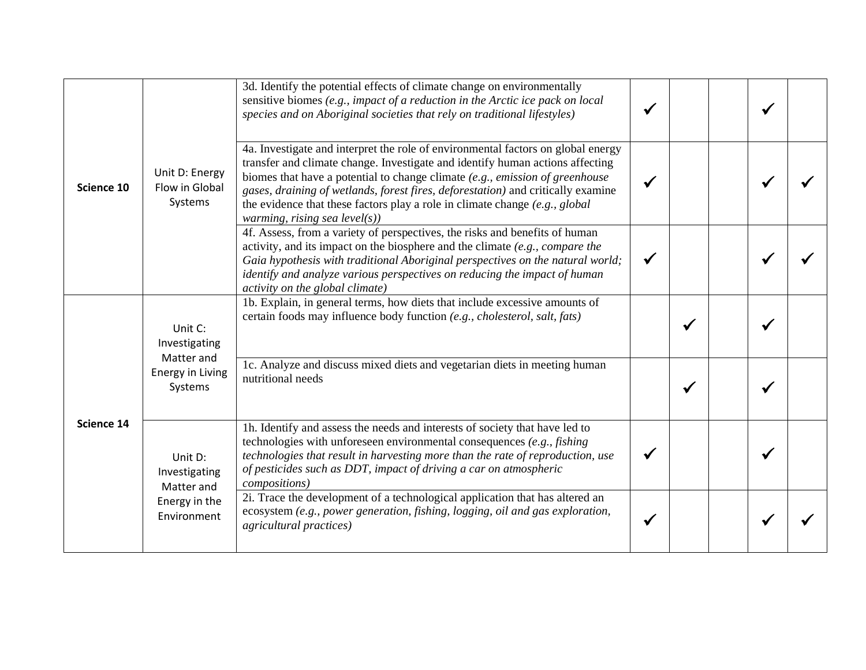| Science 10 |                                                                                                                                                                                                                                                                                                                                                                                                                                                                                                                                                                                                                                                                                                                                                                                                                                                                                       | 3d. Identify the potential effects of climate change on environmentally<br>sensitive biomes (e.g., impact of a reduction in the Arctic ice pack on local<br>species and on Aboriginal societies that rely on traditional lifestyles)                                                                                                  |  |  |  |
|------------|---------------------------------------------------------------------------------------------------------------------------------------------------------------------------------------------------------------------------------------------------------------------------------------------------------------------------------------------------------------------------------------------------------------------------------------------------------------------------------------------------------------------------------------------------------------------------------------------------------------------------------------------------------------------------------------------------------------------------------------------------------------------------------------------------------------------------------------------------------------------------------------|---------------------------------------------------------------------------------------------------------------------------------------------------------------------------------------------------------------------------------------------------------------------------------------------------------------------------------------|--|--|--|
|            | 4a. Investigate and interpret the role of environmental factors on global energy<br>transfer and climate change. Investigate and identify human actions affecting<br>Unit D: Energy<br>biomes that have a potential to change climate $(e.g., emission of green house)$<br>Flow in Global<br>gases, draining of wetlands, forest fires, deforestation) and critically examine<br>Systems<br>the evidence that these factors play a role in climate change $(e.g., global)$<br><i>warming, rising sea level(s))</i><br>4f. Assess, from a variety of perspectives, the risks and benefits of human<br>activity, and its impact on the biosphere and the climate $(e.g., compare the$<br>Gaia hypothesis with traditional Aboriginal perspectives on the natural world;<br>identify and analyze various perspectives on reducing the impact of human<br>activity on the global climate) |                                                                                                                                                                                                                                                                                                                                       |  |  |  |
|            |                                                                                                                                                                                                                                                                                                                                                                                                                                                                                                                                                                                                                                                                                                                                                                                                                                                                                       |                                                                                                                                                                                                                                                                                                                                       |  |  |  |
|            | Unit C:<br>Investigating                                                                                                                                                                                                                                                                                                                                                                                                                                                                                                                                                                                                                                                                                                                                                                                                                                                              | 1b. Explain, in general terms, how diets that include excessive amounts of<br>certain foods may influence body function (e.g., cholesterol, salt, fats)                                                                                                                                                                               |  |  |  |
|            | Matter and<br>Energy in Living<br>Systems                                                                                                                                                                                                                                                                                                                                                                                                                                                                                                                                                                                                                                                                                                                                                                                                                                             | 1c. Analyze and discuss mixed diets and vegetarian diets in meeting human<br>nutritional needs                                                                                                                                                                                                                                        |  |  |  |
| Science 14 | Unit D:<br>Investigating<br>Matter and                                                                                                                                                                                                                                                                                                                                                                                                                                                                                                                                                                                                                                                                                                                                                                                                                                                | 1h. Identify and assess the needs and interests of society that have led to<br>technologies with unforeseen environmental consequences (e.g., fishing<br>technologies that result in harvesting more than the rate of reproduction, use<br>of pesticides such as DDT, impact of driving a car on atmospheric<br><i>compositions</i> ) |  |  |  |
|            | Energy in the<br>Environment                                                                                                                                                                                                                                                                                                                                                                                                                                                                                                                                                                                                                                                                                                                                                                                                                                                          | 2i. Trace the development of a technological application that has altered an<br>ecosystem (e.g., power generation, fishing, logging, oil and gas exploration,<br><i>agricultural practices</i> )                                                                                                                                      |  |  |  |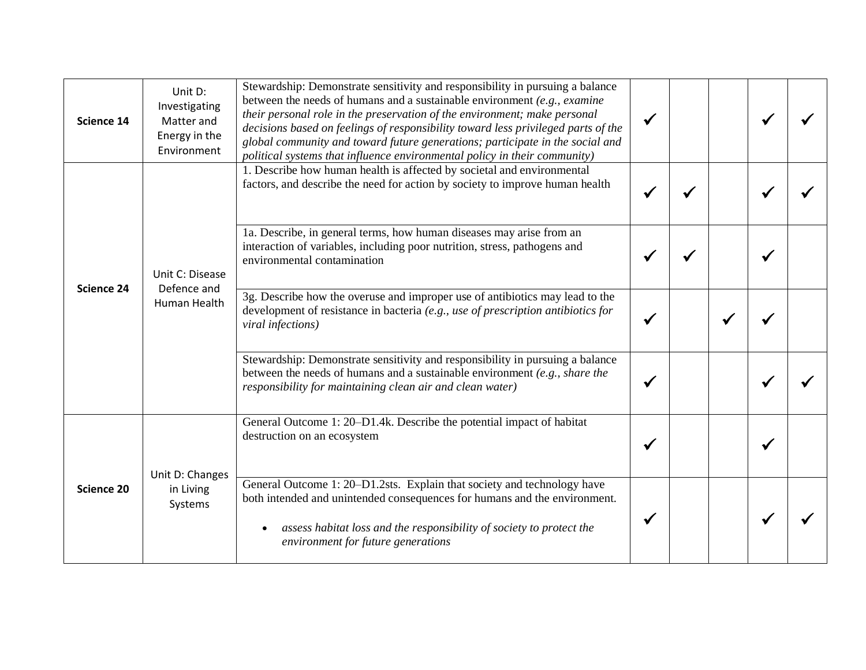| Science 14        | Unit D:<br>Investigating<br>Matter and<br>Energy in the<br>Environment | Stewardship: Demonstrate sensitivity and responsibility in pursuing a balance<br>between the needs of humans and a sustainable environment $(e.g., examine)$<br>their personal role in the preservation of the environment; make personal<br>decisions based on feelings of responsibility toward less privileged parts of the<br>global community and toward future generations; participate in the social and<br>political systems that influence environmental policy in their community) |  |  |  |
|-------------------|------------------------------------------------------------------------|----------------------------------------------------------------------------------------------------------------------------------------------------------------------------------------------------------------------------------------------------------------------------------------------------------------------------------------------------------------------------------------------------------------------------------------------------------------------------------------------|--|--|--|
| <b>Science 24</b> |                                                                        | 1. Describe how human health is affected by societal and environmental<br>factors, and describe the need for action by society to improve human health                                                                                                                                                                                                                                                                                                                                       |  |  |  |
|                   | Unit C: Disease<br>Defence and<br>Human Health                         | 1a. Describe, in general terms, how human diseases may arise from an<br>interaction of variables, including poor nutrition, stress, pathogens and<br>environmental contamination                                                                                                                                                                                                                                                                                                             |  |  |  |
|                   |                                                                        | 3g. Describe how the overuse and improper use of antibiotics may lead to the<br>development of resistance in bacteria (e.g., use of prescription antibiotics for<br>viral infections)                                                                                                                                                                                                                                                                                                        |  |  |  |
|                   |                                                                        | Stewardship: Demonstrate sensitivity and responsibility in pursuing a balance<br>between the needs of humans and a sustainable environment (e.g., share the<br>responsibility for maintaining clean air and clean water)                                                                                                                                                                                                                                                                     |  |  |  |
|                   |                                                                        | General Outcome 1: 20–D1.4k. Describe the potential impact of habitat<br>destruction on an ecosystem                                                                                                                                                                                                                                                                                                                                                                                         |  |  |  |
| <b>Science 20</b> | Unit D: Changes<br>in Living<br>Systems                                | General Outcome 1: 20-D1.2sts. Explain that society and technology have<br>both intended and unintended consequences for humans and the environment.<br>assess habitat loss and the responsibility of society to protect the<br>$\bullet$<br>environment for future generations                                                                                                                                                                                                              |  |  |  |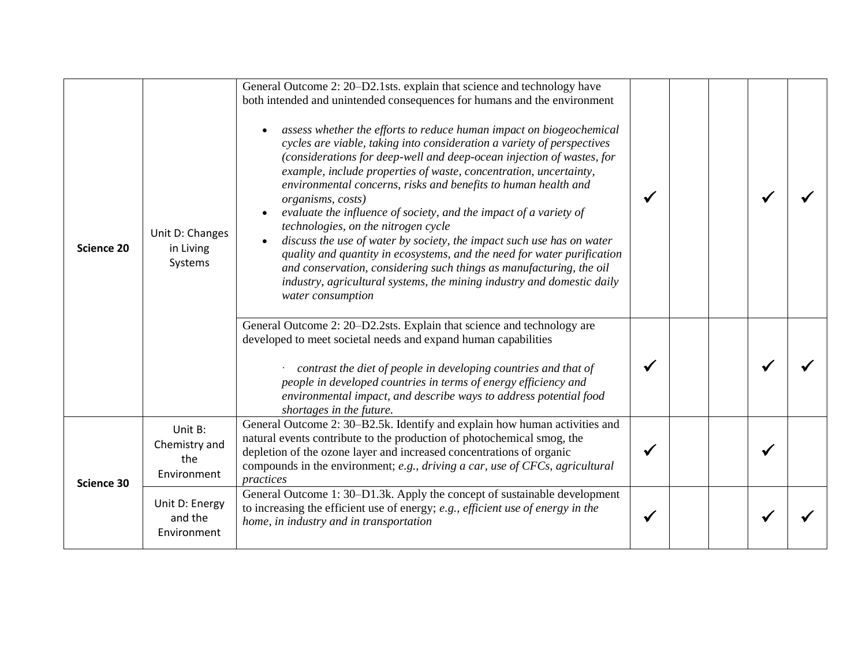| <b>Science 20</b><br>Science 30 | Unit D: Changes<br>in Living<br>Systems        | General Outcome 2: 20–D2.1sts. explain that science and technology have<br>both intended and unintended consequences for humans and the environment<br>assess whether the efforts to reduce human impact on biogeochemical<br>$\bullet$<br>cycles are viable, taking into consideration a variety of perspectives<br>(considerations for deep-well and deep-ocean injection of wastes, for<br>example, include properties of waste, concentration, uncertainty,<br>environmental concerns, risks and benefits to human health and<br>organisms, costs)<br>evaluate the influence of society, and the impact of a variety of<br>technologies, on the nitrogen cycle<br>discuss the use of water by society, the impact such use has on water<br>quality and quantity in ecosystems, and the need for water purification<br>and conservation, considering such things as manufacturing, the oil<br>industry, agricultural systems, the mining industry and domestic daily<br>water consumption |  |  |  |
|---------------------------------|------------------------------------------------|----------------------------------------------------------------------------------------------------------------------------------------------------------------------------------------------------------------------------------------------------------------------------------------------------------------------------------------------------------------------------------------------------------------------------------------------------------------------------------------------------------------------------------------------------------------------------------------------------------------------------------------------------------------------------------------------------------------------------------------------------------------------------------------------------------------------------------------------------------------------------------------------------------------------------------------------------------------------------------------------|--|--|--|
|                                 |                                                | General Outcome 2: 20-D2.2sts. Explain that science and technology are<br>developed to meet societal needs and expand human capabilities<br>contrast the diet of people in developing countries and that of<br>people in developed countries in terms of energy efficiency and<br>environmental impact, and describe ways to address potential food<br>shortages in the future.                                                                                                                                                                                                                                                                                                                                                                                                                                                                                                                                                                                                              |  |  |  |
|                                 | Unit B:<br>Chemistry and<br>the<br>Environment | General Outcome 2: 30–B2.5k. Identify and explain how human activities and<br>natural events contribute to the production of photochemical smog, the<br>depletion of the ozone layer and increased concentrations of organic<br>compounds in the environment; e.g., driving a car, use of CFCs, agricultural<br>practices                                                                                                                                                                                                                                                                                                                                                                                                                                                                                                                                                                                                                                                                    |  |  |  |
|                                 | Unit D: Energy<br>and the<br>Environment       | General Outcome 1: 30–D1.3k. Apply the concept of sustainable development<br>to increasing the efficient use of energy; e.g., efficient use of energy in the<br>home, in industry and in transportation                                                                                                                                                                                                                                                                                                                                                                                                                                                                                                                                                                                                                                                                                                                                                                                      |  |  |  |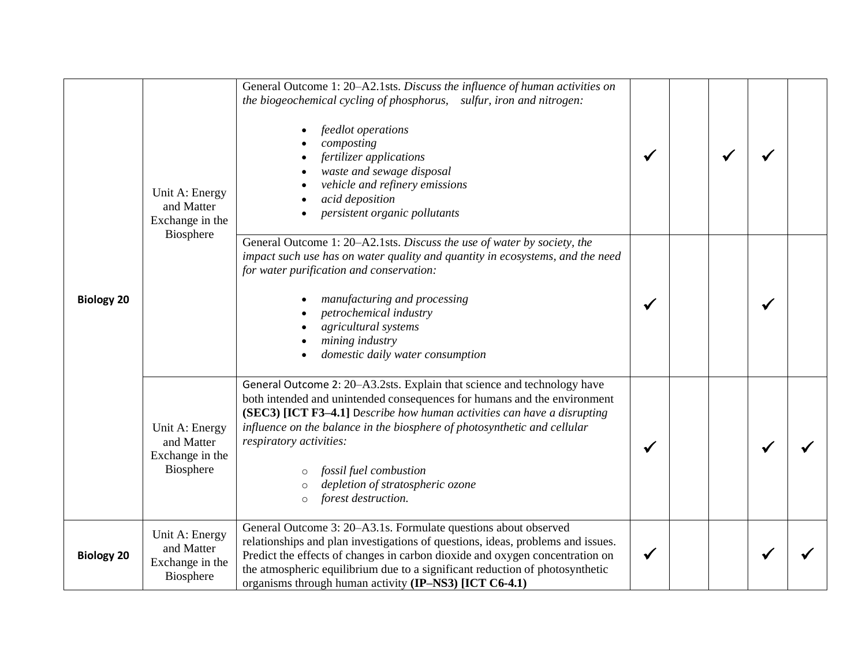| <b>Biology 20</b> | Unit A: Energy<br>and Matter<br>Exchange in the              | General Outcome 1: 20-A2.1sts. Discuss the influence of human activities on<br>the biogeochemical cycling of phosphorus, sulfur, iron and nitrogen:<br>feedlot operations<br>composting<br>fertilizer applications<br>waste and sewage disposal<br>vehicle and refinery emissions<br>acid deposition<br>persistent organic pollutants                                                                                                            |  |  |  |
|-------------------|--------------------------------------------------------------|--------------------------------------------------------------------------------------------------------------------------------------------------------------------------------------------------------------------------------------------------------------------------------------------------------------------------------------------------------------------------------------------------------------------------------------------------|--|--|--|
|                   | Biosphere                                                    | General Outcome 1: 20-A2.1sts. Discuss the use of water by society, the<br>impact such use has on water quality and quantity in ecosystems, and the need<br>for water purification and conservation:<br>manufacturing and processing<br>petrochemical industry<br>agricultural systems<br>mining industry<br>domestic daily water consumption                                                                                                    |  |  |  |
|                   | Unit A: Energy<br>and Matter<br>Exchange in the<br>Biosphere | General Outcome 2: 20-A3.2sts. Explain that science and technology have<br>both intended and unintended consequences for humans and the environment<br>(SEC3) [ICT F3-4.1] Describe how human activities can have a disrupting<br>influence on the balance in the biosphere of photosynthetic and cellular<br>respiratory activities:<br>fossil fuel combustion<br>$\circ$<br>depletion of stratospheric ozone<br>forest destruction.<br>$\circ$ |  |  |  |
| <b>Biology 20</b> | Unit A: Energy<br>and Matter<br>Exchange in the<br>Biosphere | General Outcome 3: 20–A3.1s. Formulate questions about observed<br>relationships and plan investigations of questions, ideas, problems and issues.<br>Predict the effects of changes in carbon dioxide and oxygen concentration on<br>the atmospheric equilibrium due to a significant reduction of photosynthetic<br>organisms through human activity (IP-NS3) [ICT C6-4.1)                                                                     |  |  |  |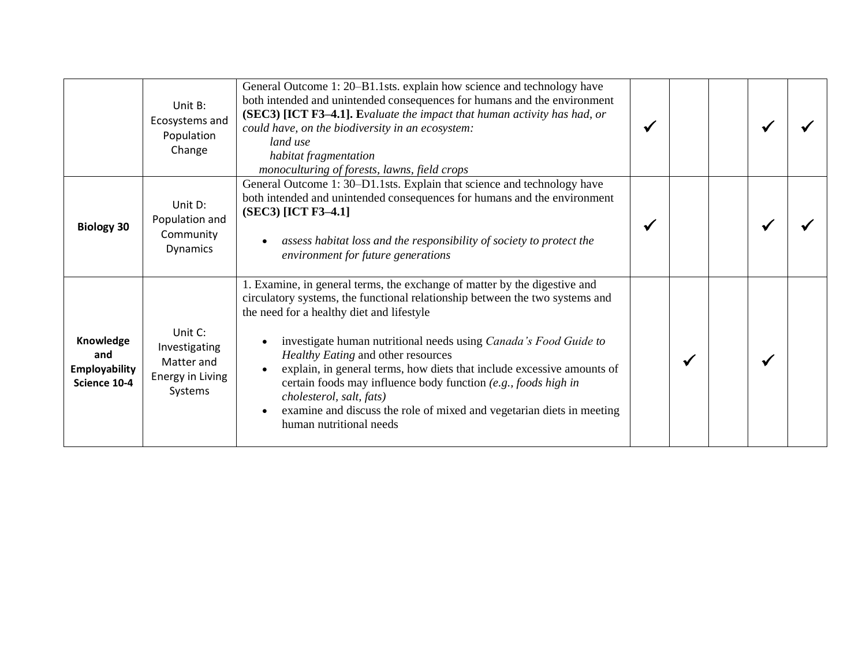|                                                          | Unit B:<br>Ecosystems and<br>Population<br>Change                            | General Outcome 1: 20-B1.1sts. explain how science and technology have<br>both intended and unintended consequences for humans and the environment<br>(SEC3) [ICT F3-4.1]. Evaluate the impact that human activity has had, or<br>could have, on the biodiversity in an ecosystem:<br>land use<br>habitat fragmentation<br>monoculturing of forests, lawns, field crops                                                                                                                                                                                                                      |  |  |  |
|----------------------------------------------------------|------------------------------------------------------------------------------|----------------------------------------------------------------------------------------------------------------------------------------------------------------------------------------------------------------------------------------------------------------------------------------------------------------------------------------------------------------------------------------------------------------------------------------------------------------------------------------------------------------------------------------------------------------------------------------------|--|--|--|
| <b>Biology 30</b>                                        | Unit D:<br>Population and<br>Community<br>Dynamics                           | General Outcome 1: 30–D1.1sts. Explain that science and technology have<br>both intended and unintended consequences for humans and the environment<br>(SEC3) [ICT F3-4.1]<br>assess habitat loss and the responsibility of society to protect the<br>environment for future generations                                                                                                                                                                                                                                                                                                     |  |  |  |
| Knowledge<br>and<br><b>Employability</b><br>Science 10-4 | Unit C:<br>Investigating<br>Matter and<br><b>Energy in Living</b><br>Systems | 1. Examine, in general terms, the exchange of matter by the digestive and<br>circulatory systems, the functional relationship between the two systems and<br>the need for a healthy diet and lifestyle<br>investigate human nutritional needs using Canada's Food Guide to<br>Healthy Eating and other resources<br>explain, in general terms, how diets that include excessive amounts of<br>certain foods may influence body function (e.g., foods high in<br>cholesterol, salt, fats)<br>examine and discuss the role of mixed and vegetarian diets in meeting<br>human nutritional needs |  |  |  |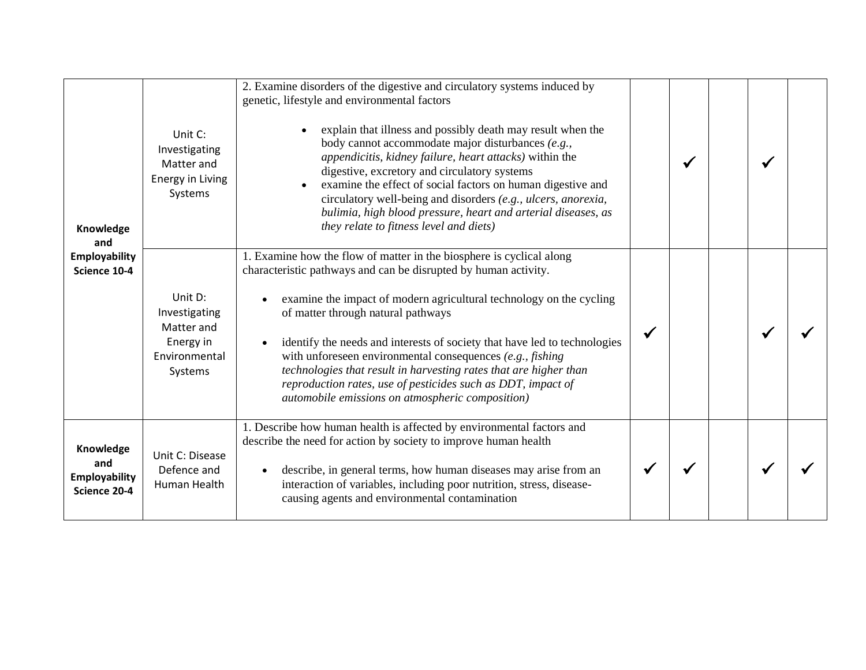| Knowledge<br>and                                         | Unit C:<br>Investigating<br>Matter and<br><b>Energy in Living</b><br>Systems    | 2. Examine disorders of the digestive and circulatory systems induced by<br>genetic, lifestyle and environmental factors<br>explain that illness and possibly death may result when the<br>body cannot accommodate major disturbances (e.g.,<br>appendicitis, kidney failure, heart attacks) within the<br>digestive, excretory and circulatory systems<br>examine the effect of social factors on human digestive and<br>circulatory well-being and disorders (e.g., ulcers, anorexia,<br>bulimia, high blood pressure, heart and arterial diseases, as<br>they relate to fitness level and diets) |  | $\checkmark$ |  |
|----------------------------------------------------------|---------------------------------------------------------------------------------|-----------------------------------------------------------------------------------------------------------------------------------------------------------------------------------------------------------------------------------------------------------------------------------------------------------------------------------------------------------------------------------------------------------------------------------------------------------------------------------------------------------------------------------------------------------------------------------------------------|--|--------------|--|
| <b>Employability</b><br>Science 10-4                     | Unit D:<br>Investigating<br>Matter and<br>Energy in<br>Environmental<br>Systems | 1. Examine how the flow of matter in the biosphere is cyclical along<br>characteristic pathways and can be disrupted by human activity.<br>examine the impact of modern agricultural technology on the cycling<br>of matter through natural pathways<br>identify the needs and interests of society that have led to technologies<br>with unforeseen environmental consequences $(e.g., fishing)$<br>technologies that result in harvesting rates that are higher than<br>reproduction rates, use of pesticides such as DDT, impact of<br>automobile emissions on atmospheric composition)          |  |              |  |
| Knowledge<br>and<br><b>Employability</b><br>Science 20-4 | Unit C: Disease<br>Defence and<br>Human Health                                  | 1. Describe how human health is affected by environmental factors and<br>describe the need for action by society to improve human health<br>describe, in general terms, how human diseases may arise from an<br>$\bullet$<br>interaction of variables, including poor nutrition, stress, disease-<br>causing agents and environmental contamination                                                                                                                                                                                                                                                 |  |              |  |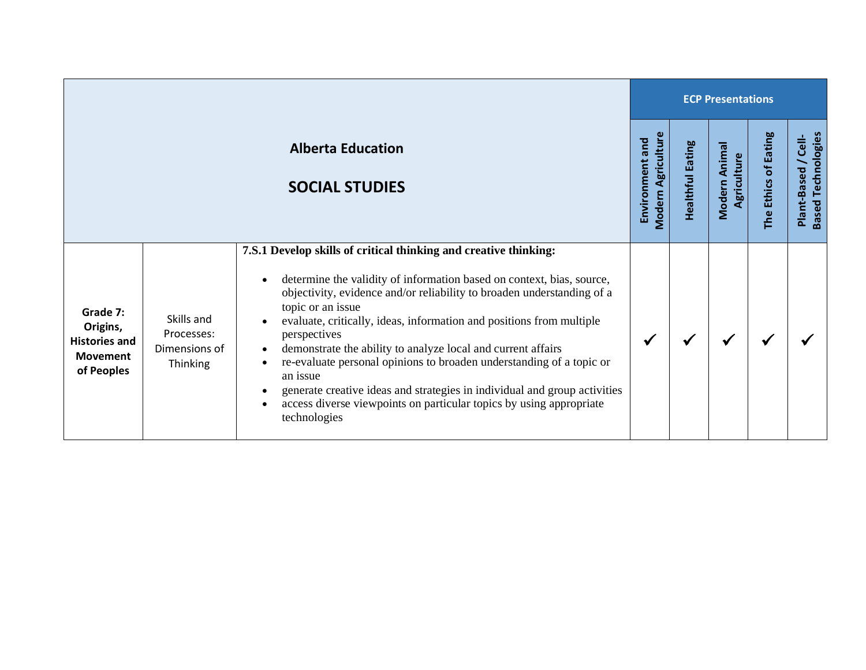|                                                                               |                                                       |                                                                                                                                                                                                                                                                                                                                                                                                                                                                                                                                                                                                                                                                                                              |                                              |                                   | <b>ECP Presentations</b>     |                      |                                                   |
|-------------------------------------------------------------------------------|-------------------------------------------------------|--------------------------------------------------------------------------------------------------------------------------------------------------------------------------------------------------------------------------------------------------------------------------------------------------------------------------------------------------------------------------------------------------------------------------------------------------------------------------------------------------------------------------------------------------------------------------------------------------------------------------------------------------------------------------------------------------------------|----------------------------------------------|-----------------------------------|------------------------------|----------------------|---------------------------------------------------|
|                                                                               |                                                       | <b>Alberta Education</b><br><b>SOCIAL STUDIES</b>                                                                                                                                                                                                                                                                                                                                                                                                                                                                                                                                                                                                                                                            | <b>Modern Agriculture</b><br>Environment and | <b>Eating</b><br><b>Healthful</b> | Modern Animal<br>Agriculture | The Ethics of Eating | <b>Based Technologies</b><br>Cell-<br>Plant-Based |
| Grade 7:<br>Origins,<br><b>Histories and</b><br><b>Movement</b><br>of Peoples | Skills and<br>Processes:<br>Dimensions of<br>Thinking | 7.S.1 Develop skills of critical thinking and creative thinking:<br>determine the validity of information based on context, bias, source,<br>$\bullet$<br>objectivity, evidence and/or reliability to broaden understanding of a<br>topic or an issue<br>evaluate, critically, ideas, information and positions from multiple<br>perspectives<br>demonstrate the ability to analyze local and current affairs<br>$\bullet$<br>re-evaluate personal opinions to broaden understanding of a topic or<br>an issue<br>generate creative ideas and strategies in individual and group activities<br>$\bullet$<br>access diverse viewpoints on particular topics by using appropriate<br>$\bullet$<br>technologies | ₩                                            | ✔                                 |                              |                      |                                                   |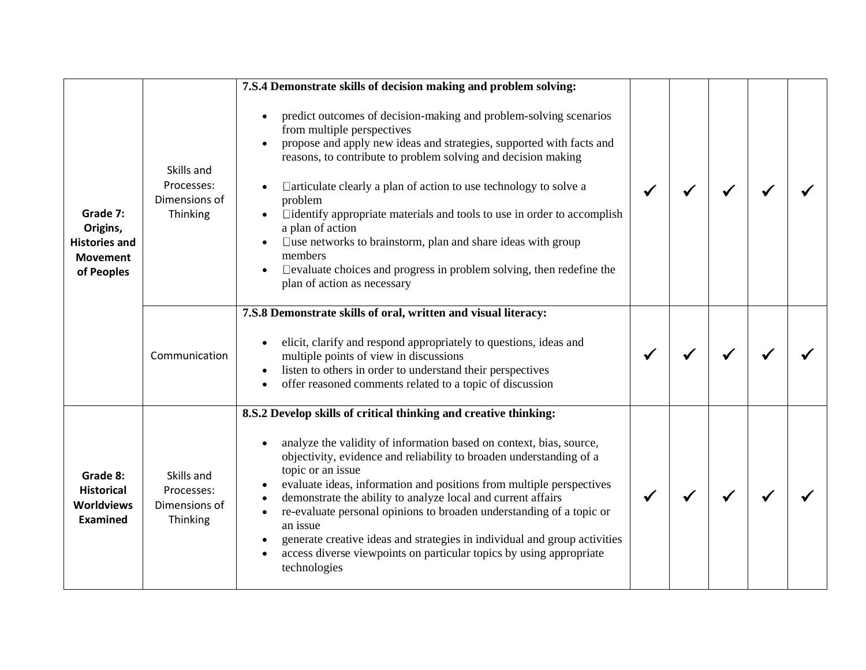|                                                                               |                                                       | 7.S.4 Demonstrate skills of decision making and problem solving:                                                                                                                                                                                                                                                                                                                                                                                                                                                                                                                                                                                                           |  |  |  |
|-------------------------------------------------------------------------------|-------------------------------------------------------|----------------------------------------------------------------------------------------------------------------------------------------------------------------------------------------------------------------------------------------------------------------------------------------------------------------------------------------------------------------------------------------------------------------------------------------------------------------------------------------------------------------------------------------------------------------------------------------------------------------------------------------------------------------------------|--|--|--|
| Grade 7:<br>Origins,<br><b>Histories and</b><br><b>Movement</b><br>of Peoples | Skills and<br>Processes:<br>Dimensions of<br>Thinking | predict outcomes of decision-making and problem-solving scenarios<br>$\bullet$<br>from multiple perspectives<br>propose and apply new ideas and strategies, supported with facts and<br>reasons, to contribute to problem solving and decision making<br>□ articulate clearly a plan of action to use technology to solve a<br>problem<br>□identify appropriate materials and tools to use in order to accomplish<br>a plan of action<br>$\square$ use networks to brainstorm, plan and share ideas with group<br>$\bullet$<br>members<br>$\square$ evaluate choices and progress in problem solving, then redefine the<br>$\bullet$<br>plan of action as necessary        |  |  |  |
|                                                                               | Communication                                         | 7.S.8 Demonstrate skills of oral, written and visual literacy:<br>elicit, clarify and respond appropriately to questions, ideas and<br>multiple points of view in discussions<br>listen to others in order to understand their perspectives<br>offer reasoned comments related to a topic of discussion<br>$\bullet$                                                                                                                                                                                                                                                                                                                                                       |  |  |  |
| Grade 8:<br><b>Historical</b><br><b>Worldviews</b><br>Examined                | Skills and<br>Processes:<br>Dimensions of<br>Thinking | 8.S.2 Develop skills of critical thinking and creative thinking:<br>analyze the validity of information based on context, bias, source,<br>$\bullet$<br>objectivity, evidence and reliability to broaden understanding of a<br>topic or an issue<br>evaluate ideas, information and positions from multiple perspectives<br>demonstrate the ability to analyze local and current affairs<br>$\bullet$<br>re-evaluate personal opinions to broaden understanding of a topic or<br>$\bullet$<br>an issue<br>generate creative ideas and strategies in individual and group activities<br>access diverse viewpoints on particular topics by using appropriate<br>technologies |  |  |  |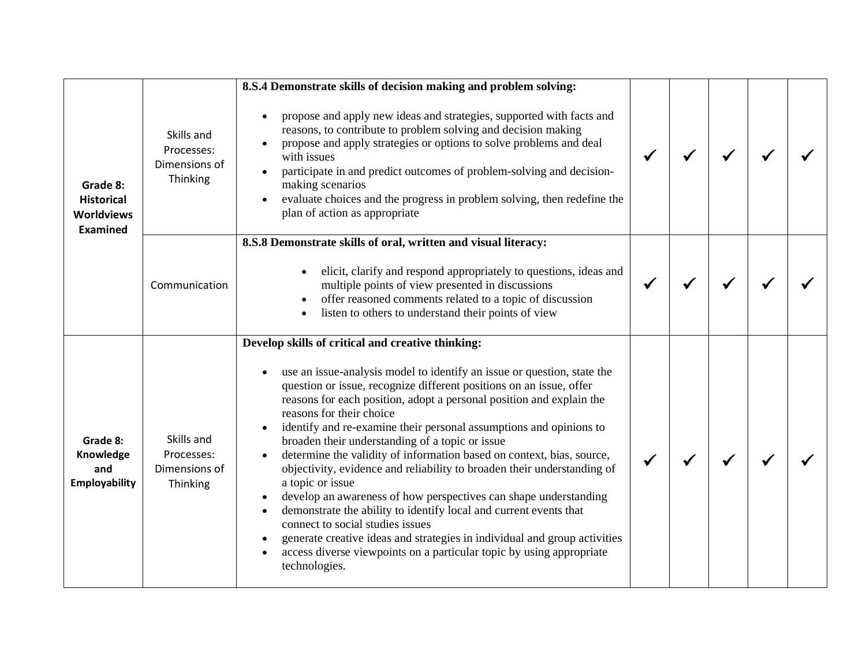|                                                                       |                                                       | 8.S.4 Demonstrate skills of decision making and problem solving:                                                                                                                                                                                                                                                                                                                                                                                                                                                                                                                                                                                                                                                                                                                                                                                                                                                                                                                                                |  |  |  |
|-----------------------------------------------------------------------|-------------------------------------------------------|-----------------------------------------------------------------------------------------------------------------------------------------------------------------------------------------------------------------------------------------------------------------------------------------------------------------------------------------------------------------------------------------------------------------------------------------------------------------------------------------------------------------------------------------------------------------------------------------------------------------------------------------------------------------------------------------------------------------------------------------------------------------------------------------------------------------------------------------------------------------------------------------------------------------------------------------------------------------------------------------------------------------|--|--|--|
| Grade 8:<br><b>Historical</b><br><b>Worldviews</b><br><b>Examined</b> | Skills and<br>Processes:<br>Dimensions of<br>Thinking | propose and apply new ideas and strategies, supported with facts and<br>$\bullet$<br>reasons, to contribute to problem solving and decision making<br>propose and apply strategies or options to solve problems and deal<br>with issues<br>participate in and predict outcomes of problem-solving and decision-<br>making scenarios<br>evaluate choices and the progress in problem solving, then redefine the<br>plan of action as appropriate                                                                                                                                                                                                                                                                                                                                                                                                                                                                                                                                                                 |  |  |  |
|                                                                       | Communication                                         | 8.S.8 Demonstrate skills of oral, written and visual literacy:<br>elicit, clarify and respond appropriately to questions, ideas and<br>multiple points of view presented in discussions<br>offer reasoned comments related to a topic of discussion<br>listen to others to understand their points of view                                                                                                                                                                                                                                                                                                                                                                                                                                                                                                                                                                                                                                                                                                      |  |  |  |
| Grade 8:<br>Knowledge<br>and<br><b>Employability</b>                  | Skills and<br>Processes:<br>Dimensions of<br>Thinking | Develop skills of critical and creative thinking:<br>use an issue-analysis model to identify an issue or question, state the<br>$\bullet$<br>question or issue, recognize different positions on an issue, offer<br>reasons for each position, adopt a personal position and explain the<br>reasons for their choice<br>identify and re-examine their personal assumptions and opinions to<br>$\bullet$<br>broaden their understanding of a topic or issue<br>determine the validity of information based on context, bias, source,<br>$\bullet$<br>objectivity, evidence and reliability to broaden their understanding of<br>a topic or issue<br>develop an awareness of how perspectives can shape understanding<br>demonstrate the ability to identify local and current events that<br>$\bullet$<br>connect to social studies issues<br>generate creative ideas and strategies in individual and group activities<br>access diverse viewpoints on a particular topic by using appropriate<br>technologies. |  |  |  |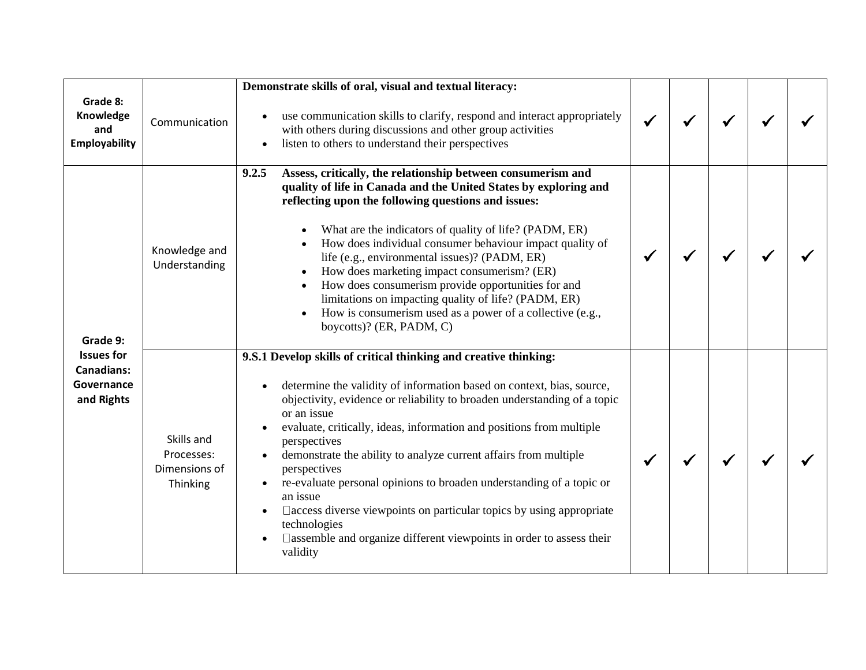| Grade 8:<br>Knowledge<br>and                                                   | Communication                                         | Demonstrate skills of oral, visual and textual literacy:<br>use communication skills to clarify, respond and interact appropriately<br>with others during discussions and other group activities                                                                                                                                                                                                                                                                                                                                                                                                                                                                                                                       |  |  |  |
|--------------------------------------------------------------------------------|-------------------------------------------------------|------------------------------------------------------------------------------------------------------------------------------------------------------------------------------------------------------------------------------------------------------------------------------------------------------------------------------------------------------------------------------------------------------------------------------------------------------------------------------------------------------------------------------------------------------------------------------------------------------------------------------------------------------------------------------------------------------------------------|--|--|--|
| <b>Employability</b>                                                           |                                                       | listen to others to understand their perspectives                                                                                                                                                                                                                                                                                                                                                                                                                                                                                                                                                                                                                                                                      |  |  |  |
| Grade 9:<br><b>Issues for</b><br><b>Canadians:</b><br>Governance<br>and Rights | Knowledge and<br>Understanding                        | 9.2.5<br>Assess, critically, the relationship between consumerism and<br>quality of life in Canada and the United States by exploring and<br>reflecting upon the following questions and issues:<br>What are the indicators of quality of life? (PADM, ER)<br>How does individual consumer behaviour impact quality of<br>life (e.g., environmental issues)? (PADM, ER)<br>How does marketing impact consumerism? (ER)<br>$\bullet$<br>How does consumerism provide opportunities for and<br>$\bullet$<br>limitations on impacting quality of life? (PADM, ER)<br>How is consumerism used as a power of a collective (e.g.,<br>$\bullet$<br>boycotts)? (ER, PADM, C)                                                   |  |  |  |
|                                                                                | Skills and<br>Processes:<br>Dimensions of<br>Thinking | 9.S.1 Develop skills of critical thinking and creative thinking:<br>determine the validity of information based on context, bias, source,<br>objectivity, evidence or reliability to broaden understanding of a topic<br>or an issue<br>evaluate, critically, ideas, information and positions from multiple<br>perspectives<br>demonstrate the ability to analyze current affairs from multiple<br>perspectives<br>re-evaluate personal opinions to broaden understanding of a topic or<br>$\bullet$<br>an issue<br>$\Box$ access diverse viewpoints on particular topics by using appropriate<br>$\bullet$<br>technologies<br>$\Box$ assemble and organize different viewpoints in order to assess their<br>validity |  |  |  |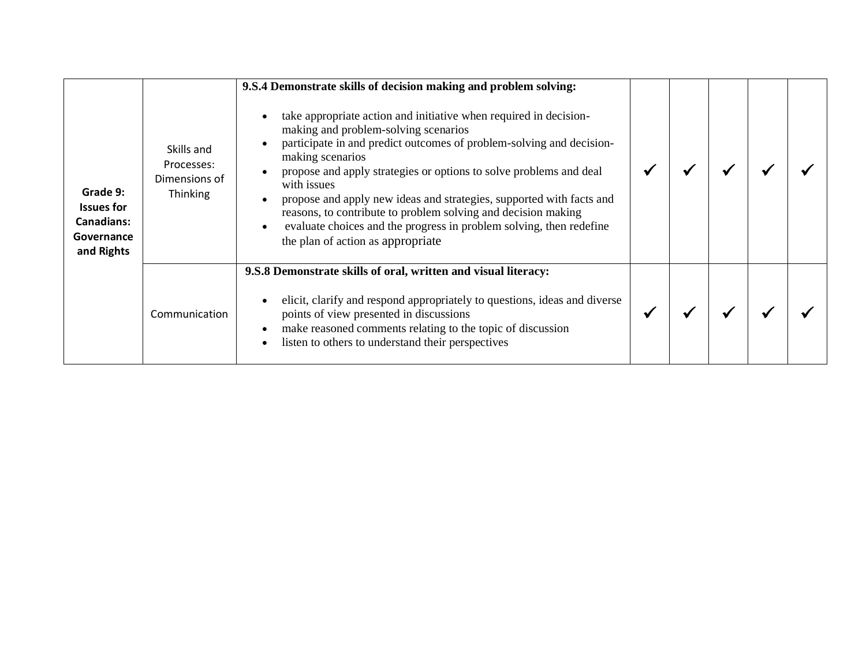|                                                                                |                                                              | 9.S.4 Demonstrate skills of decision making and problem solving:                                                                                                                                                                                                                                                                                                                                                                                                                                                                                |  |  |  |
|--------------------------------------------------------------------------------|--------------------------------------------------------------|-------------------------------------------------------------------------------------------------------------------------------------------------------------------------------------------------------------------------------------------------------------------------------------------------------------------------------------------------------------------------------------------------------------------------------------------------------------------------------------------------------------------------------------------------|--|--|--|
| Grade 9:<br><b>Issues for</b><br><b>Canadians:</b><br>Governance<br>and Rights | Skills and<br>Processes:<br>Dimensions of<br><b>Thinking</b> | take appropriate action and initiative when required in decision-<br>making and problem-solving scenarios<br>participate in and predict outcomes of problem-solving and decision-<br>making scenarios<br>propose and apply strategies or options to solve problems and deal<br>with issues<br>propose and apply new ideas and strategies, supported with facts and<br>reasons, to contribute to problem solving and decision making<br>evaluate choices and the progress in problem solving, then redefine<br>the plan of action as appropriate |  |  |  |
|                                                                                |                                                              | 9.S.8 Demonstrate skills of oral, written and visual literacy:                                                                                                                                                                                                                                                                                                                                                                                                                                                                                  |  |  |  |
|                                                                                | Communication                                                | elicit, clarify and respond appropriately to questions, ideas and diverse<br>points of view presented in discussions<br>make reasoned comments relating to the topic of discussion<br>$\bullet$<br>listen to others to understand their perspectives                                                                                                                                                                                                                                                                                            |  |  |  |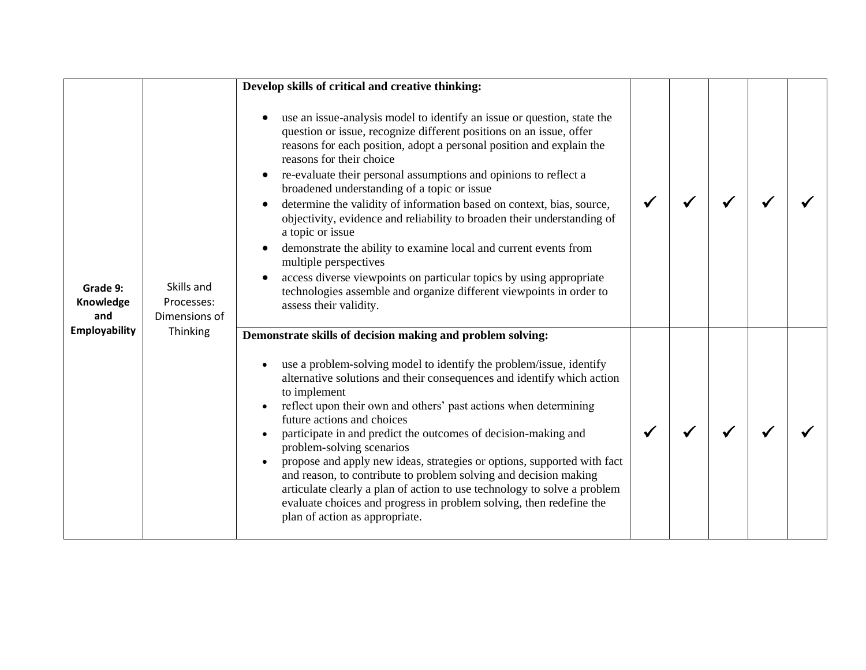|                              |                                           | Develop skills of critical and creative thinking:                                                                                                                                                                                                                                                                                                                                                                                                                                                                                                                                                                                                                                                                                                                                                                  |  |  |  |
|------------------------------|-------------------------------------------|--------------------------------------------------------------------------------------------------------------------------------------------------------------------------------------------------------------------------------------------------------------------------------------------------------------------------------------------------------------------------------------------------------------------------------------------------------------------------------------------------------------------------------------------------------------------------------------------------------------------------------------------------------------------------------------------------------------------------------------------------------------------------------------------------------------------|--|--|--|
| Grade 9:<br>Knowledge<br>and | Skills and<br>Processes:<br>Dimensions of | use an issue-analysis model to identify an issue or question, state the<br>question or issue, recognize different positions on an issue, offer<br>reasons for each position, adopt a personal position and explain the<br>reasons for their choice<br>re-evaluate their personal assumptions and opinions to reflect a<br>broadened understanding of a topic or issue<br>determine the validity of information based on context, bias, source,<br>objectivity, evidence and reliability to broaden their understanding of<br>a topic or issue<br>demonstrate the ability to examine local and current events from<br>multiple perspectives<br>access diverse viewpoints on particular topics by using appropriate<br>technologies assemble and organize different viewpoints in order to<br>assess their validity. |  |  |  |
| <b>Employability</b>         | Thinking                                  | Demonstrate skills of decision making and problem solving:<br>use a problem-solving model to identify the problem/issue, identify<br>alternative solutions and their consequences and identify which action<br>to implement<br>reflect upon their own and others' past actions when determining<br>$\bullet$<br>future actions and choices<br>participate in and predict the outcomes of decision-making and<br>problem-solving scenarios<br>propose and apply new ideas, strategies or options, supported with fact<br>and reason, to contribute to problem solving and decision making<br>articulate clearly a plan of action to use technology to solve a problem<br>evaluate choices and progress in problem solving, then redefine the<br>plan of action as appropriate.                                      |  |  |  |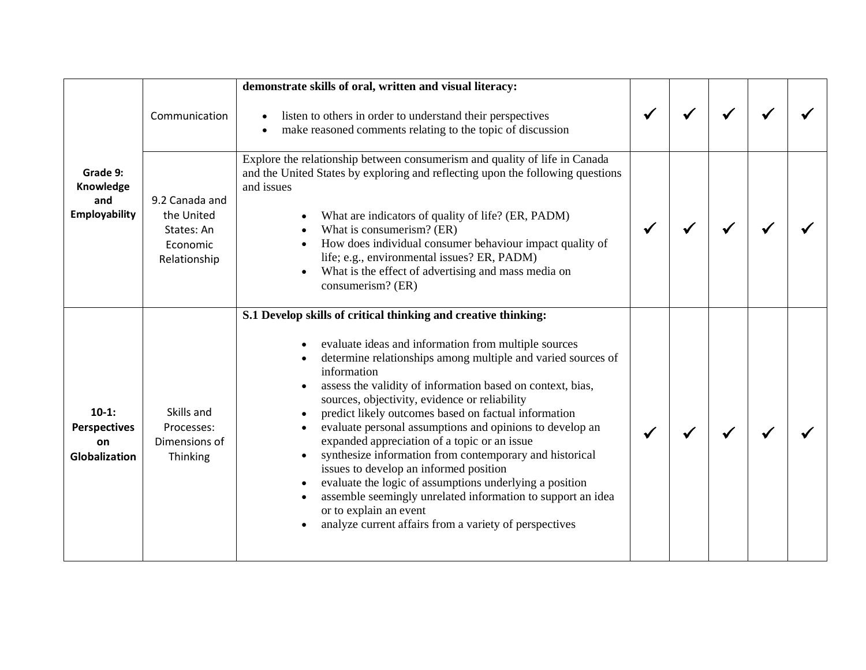|                                                              |                                                                        | demonstrate skills of oral, written and visual literacy:                                                                                                                                                                                                                                                                                                                                                                                                                                                                                                                                                                                                                                                                                                                                                                                                                     |  |  |  |
|--------------------------------------------------------------|------------------------------------------------------------------------|------------------------------------------------------------------------------------------------------------------------------------------------------------------------------------------------------------------------------------------------------------------------------------------------------------------------------------------------------------------------------------------------------------------------------------------------------------------------------------------------------------------------------------------------------------------------------------------------------------------------------------------------------------------------------------------------------------------------------------------------------------------------------------------------------------------------------------------------------------------------------|--|--|--|
|                                                              | Communication                                                          | listen to others in order to understand their perspectives<br>$\bullet$<br>make reasoned comments relating to the topic of discussion<br>$\bullet$                                                                                                                                                                                                                                                                                                                                                                                                                                                                                                                                                                                                                                                                                                                           |  |  |  |
| Grade 9:<br>Knowledge<br>and<br><b>Employability</b>         | 9.2 Canada and<br>the United<br>States: An<br>Economic<br>Relationship | Explore the relationship between consumerism and quality of life in Canada<br>and the United States by exploring and reflecting upon the following questions<br>and issues<br>What are indicators of quality of life? (ER, PADM)<br>What is consumerism? (ER)<br>$\bullet$<br>How does individual consumer behaviour impact quality of<br>life; e.g., environmental issues? ER, PADM)<br>What is the effect of advertising and mass media on<br>consumerism? (ER)                                                                                                                                                                                                                                                                                                                                                                                                            |  |  |  |
| $10-1:$<br><b>Perspectives</b><br>on<br><b>Globalization</b> | Skills and<br>Processes:<br>Dimensions of<br>Thinking                  | S.1 Develop skills of critical thinking and creative thinking:<br>evaluate ideas and information from multiple sources<br>determine relationships among multiple and varied sources of<br>information<br>assess the validity of information based on context, bias,<br>sources, objectivity, evidence or reliability<br>predict likely outcomes based on factual information<br>$\bullet$<br>evaluate personal assumptions and opinions to develop an<br>$\bullet$<br>expanded appreciation of a topic or an issue<br>synthesize information from contemporary and historical<br>issues to develop an informed position<br>evaluate the logic of assumptions underlying a position<br>$\bullet$<br>assemble seemingly unrelated information to support an idea<br>$\bullet$<br>or to explain an event<br>analyze current affairs from a variety of perspectives<br>$\bullet$ |  |  |  |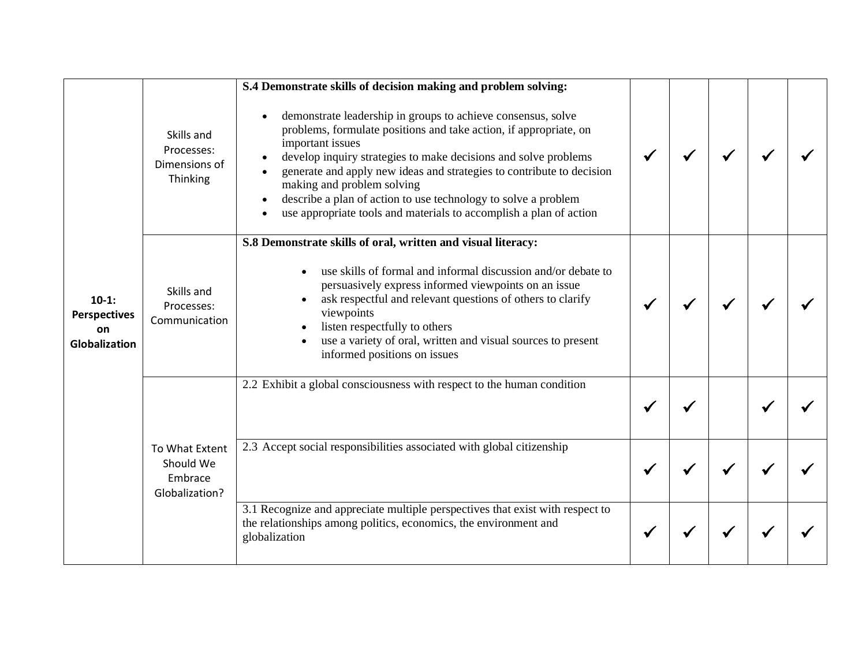|                                                       |                                                          | S.4 Demonstrate skills of decision making and problem solving:                                                                                                                                                                                                                                                                                                                                                                                                                       |  |  |  |
|-------------------------------------------------------|----------------------------------------------------------|--------------------------------------------------------------------------------------------------------------------------------------------------------------------------------------------------------------------------------------------------------------------------------------------------------------------------------------------------------------------------------------------------------------------------------------------------------------------------------------|--|--|--|
|                                                       | Skills and<br>Processes:<br>Dimensions of<br>Thinking    | demonstrate leadership in groups to achieve consensus, solve<br>$\bullet$<br>problems, formulate positions and take action, if appropriate, on<br>important issues<br>develop inquiry strategies to make decisions and solve problems<br>generate and apply new ideas and strategies to contribute to decision<br>making and problem solving<br>describe a plan of action to use technology to solve a problem<br>use appropriate tools and materials to accomplish a plan of action |  |  |  |
|                                                       |                                                          | S.8 Demonstrate skills of oral, written and visual literacy:                                                                                                                                                                                                                                                                                                                                                                                                                         |  |  |  |
| $10-1:$<br><b>Perspectives</b><br>on<br>Globalization | Skills and<br>Processes:<br>Communication                | use skills of formal and informal discussion and/or debate to<br>persuasively express informed viewpoints on an issue<br>ask respectful and relevant questions of others to clarify<br>viewpoints<br>listen respectfully to others<br>use a variety of oral, written and visual sources to present<br>informed positions on issues                                                                                                                                                   |  |  |  |
|                                                       |                                                          | 2.2 Exhibit a global consciousness with respect to the human condition                                                                                                                                                                                                                                                                                                                                                                                                               |  |  |  |
|                                                       |                                                          |                                                                                                                                                                                                                                                                                                                                                                                                                                                                                      |  |  |  |
|                                                       | To What Extent<br>Should We<br>Embrace<br>Globalization? | 2.3 Accept social responsibilities associated with global citizenship                                                                                                                                                                                                                                                                                                                                                                                                                |  |  |  |
|                                                       |                                                          | 3.1 Recognize and appreciate multiple perspectives that exist with respect to<br>the relationships among politics, economics, the environment and<br>globalization                                                                                                                                                                                                                                                                                                                   |  |  |  |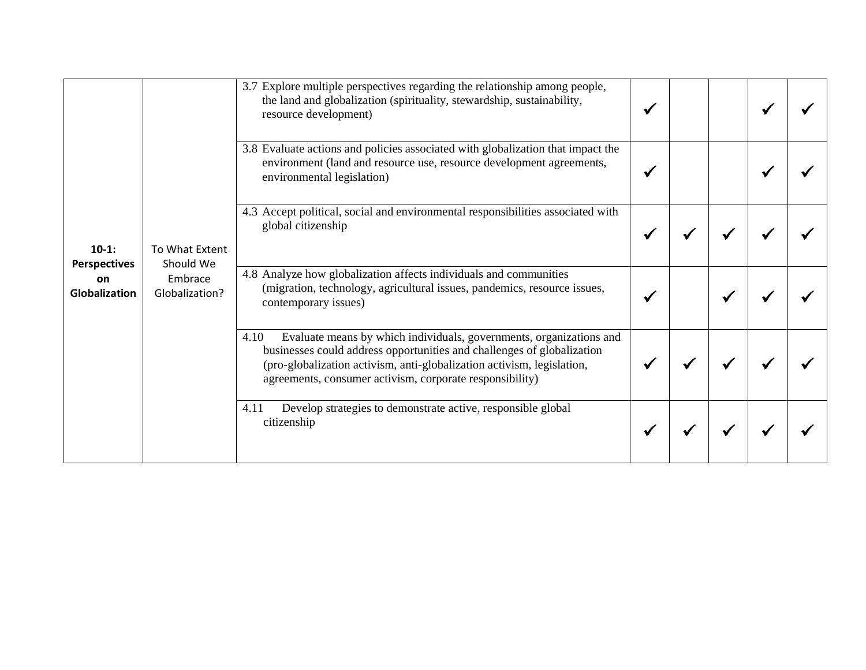| $10-1:$<br><b>Perspectives</b><br>on<br><b>Globalization</b> |                                                                                                                                                                                                                                                                                                                                        | 3.7 Explore multiple perspectives regarding the relationship among people,<br>the land and globalization (spirituality, stewardship, sustainability,<br>resource development)                                           |  |  |  |
|--------------------------------------------------------------|----------------------------------------------------------------------------------------------------------------------------------------------------------------------------------------------------------------------------------------------------------------------------------------------------------------------------------------|-------------------------------------------------------------------------------------------------------------------------------------------------------------------------------------------------------------------------|--|--|--|
|                                                              |                                                                                                                                                                                                                                                                                                                                        | 3.8 Evaluate actions and policies associated with globalization that impact the<br>environment (land and resource use, resource development agreements,<br>environmental legislation)                                   |  |  |  |
|                                                              | global citizenship<br>To What Extent<br>Should We<br>4.8 Analyze how globalization affects individuals and communities<br>Embrace<br>Globalization?<br>contemporary issues)<br>4.10<br>agreements, consumer activism, corporate responsibility)<br>Develop strategies to demonstrate active, responsible global<br>4.11<br>citizenship | 4.3 Accept political, social and environmental responsibilities associated with                                                                                                                                         |  |  |  |
|                                                              |                                                                                                                                                                                                                                                                                                                                        | (migration, technology, agricultural issues, pandemics, resource issues,                                                                                                                                                |  |  |  |
|                                                              |                                                                                                                                                                                                                                                                                                                                        | Evaluate means by which individuals, governments, organizations and<br>businesses could address opportunities and challenges of globalization<br>(pro-globalization activism, anti-globalization activism, legislation, |  |  |  |
|                                                              |                                                                                                                                                                                                                                                                                                                                        |                                                                                                                                                                                                                         |  |  |  |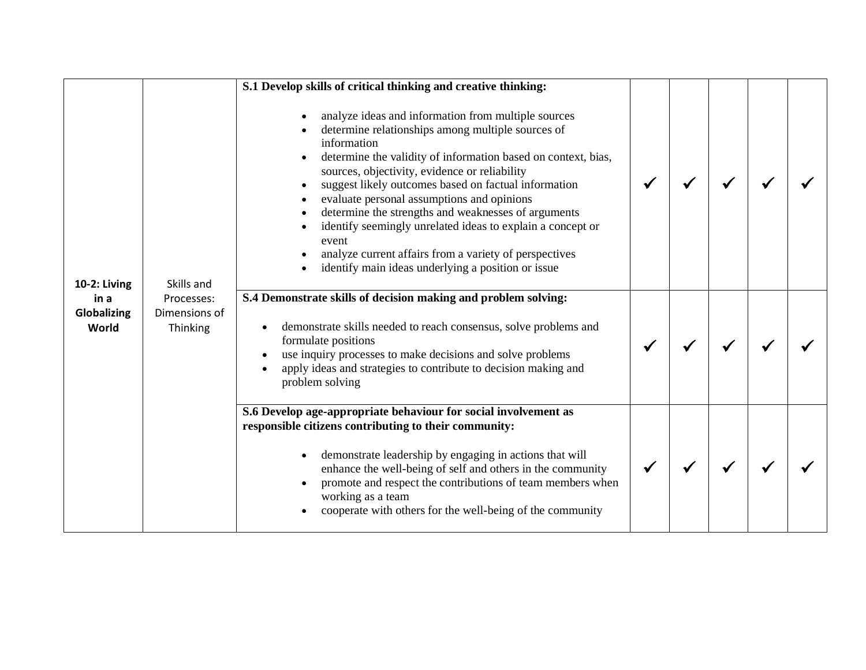|                              |                                                       | S.1 Develop skills of critical thinking and creative thinking:                                                                                                                                                                                                                                                                                                                                                                                                                                                                                                                                |  |  |  |
|------------------------------|-------------------------------------------------------|-----------------------------------------------------------------------------------------------------------------------------------------------------------------------------------------------------------------------------------------------------------------------------------------------------------------------------------------------------------------------------------------------------------------------------------------------------------------------------------------------------------------------------------------------------------------------------------------------|--|--|--|
| <b>10-2: Living</b>          | Skills and<br>Processes:<br>Dimensions of<br>Thinking | analyze ideas and information from multiple sources<br>determine relationships among multiple sources of<br>information<br>determine the validity of information based on context, bias,<br>sources, objectivity, evidence or reliability<br>suggest likely outcomes based on factual information<br>evaluate personal assumptions and opinions<br>determine the strengths and weaknesses of arguments<br>identify seemingly unrelated ideas to explain a concept or<br>event<br>analyze current affairs from a variety of perspectives<br>identify main ideas underlying a position or issue |  |  |  |
| in a<br>Globalizing<br>World |                                                       | S.4 Demonstrate skills of decision making and problem solving:<br>demonstrate skills needed to reach consensus, solve problems and<br>formulate positions<br>use inquiry processes to make decisions and solve problems<br>apply ideas and strategies to contribute to decision making and<br>problem solving                                                                                                                                                                                                                                                                                 |  |  |  |
|                              |                                                       | S.6 Develop age-appropriate behaviour for social involvement as<br>responsible citizens contributing to their community:<br>demonstrate leadership by engaging in actions that will<br>enhance the well-being of self and others in the community<br>promote and respect the contributions of team members when<br>working as a team<br>cooperate with others for the well-being of the community                                                                                                                                                                                             |  |  |  |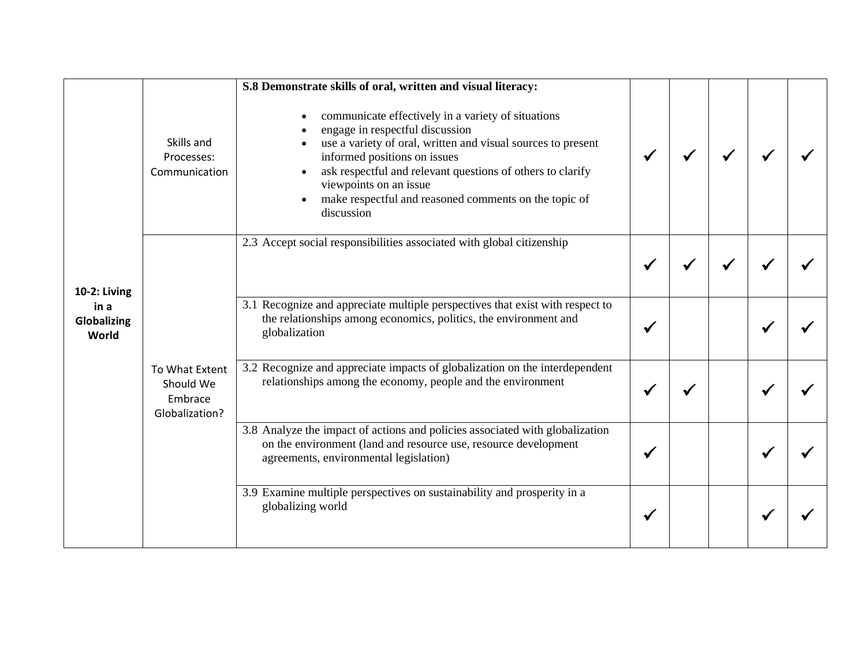|                              |                                                          | S.8 Demonstrate skills of oral, written and visual literacy:                                                                                                                                                                                                                                                                                         |  |  |  |
|------------------------------|----------------------------------------------------------|------------------------------------------------------------------------------------------------------------------------------------------------------------------------------------------------------------------------------------------------------------------------------------------------------------------------------------------------------|--|--|--|
|                              | Skills and<br>Processes:<br>Communication                | communicate effectively in a variety of situations<br>engage in respectful discussion<br>use a variety of oral, written and visual sources to present<br>informed positions on issues<br>ask respectful and relevant questions of others to clarify<br>viewpoints on an issue<br>make respectful and reasoned comments on the topic of<br>discussion |  |  |  |
| 10-2: Living                 |                                                          | 2.3 Accept social responsibilities associated with global citizenship                                                                                                                                                                                                                                                                                |  |  |  |
| in a<br>Globalizing<br>World |                                                          | 3.1 Recognize and appreciate multiple perspectives that exist with respect to<br>the relationships among economics, politics, the environment and<br>globalization                                                                                                                                                                                   |  |  |  |
|                              | To What Extent<br>Should We<br>Embrace<br>Globalization? | 3.2 Recognize and appreciate impacts of globalization on the interdependent<br>relationships among the economy, people and the environment                                                                                                                                                                                                           |  |  |  |
|                              |                                                          | 3.8 Analyze the impact of actions and policies associated with globalization<br>on the environment (land and resource use, resource development<br>agreements, environmental legislation)                                                                                                                                                            |  |  |  |
|                              |                                                          | 3.9 Examine multiple perspectives on sustainability and prosperity in a<br>globalizing world                                                                                                                                                                                                                                                         |  |  |  |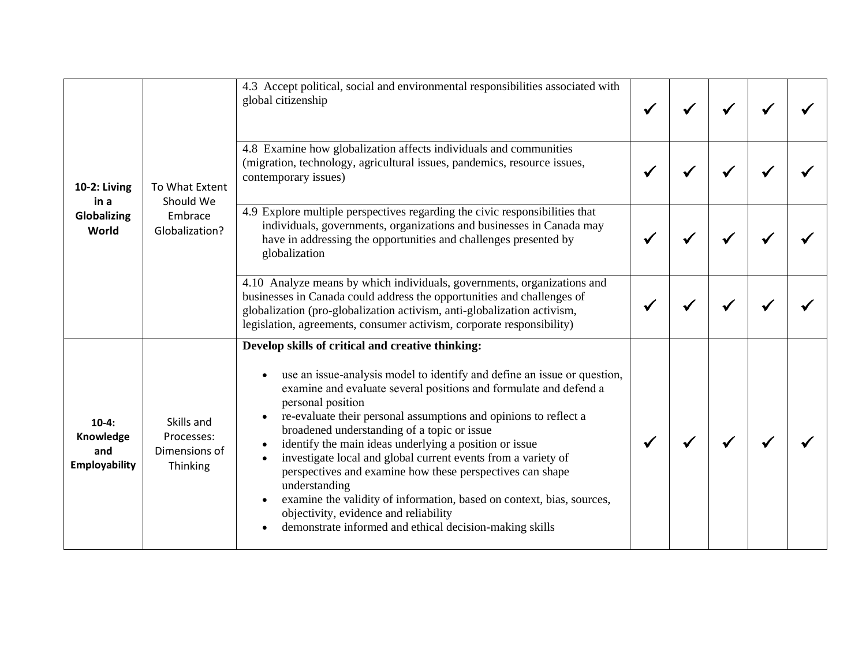| 10-2: Living<br>in a<br>Globalizing<br>World        |                                                                                                                                                                                                                                                                                                                                                                                                                                                                                                                                                                                | 4.3 Accept political, social and environmental responsibilities associated with<br>global citizenship                                                                                                                                                                                                                                                                                                                                                                                                                                                                                                                                                                                                                                                      |  |  |  |
|-----------------------------------------------------|--------------------------------------------------------------------------------------------------------------------------------------------------------------------------------------------------------------------------------------------------------------------------------------------------------------------------------------------------------------------------------------------------------------------------------------------------------------------------------------------------------------------------------------------------------------------------------|------------------------------------------------------------------------------------------------------------------------------------------------------------------------------------------------------------------------------------------------------------------------------------------------------------------------------------------------------------------------------------------------------------------------------------------------------------------------------------------------------------------------------------------------------------------------------------------------------------------------------------------------------------------------------------------------------------------------------------------------------------|--|--|--|
|                                                     | To What Extent<br>Should We                                                                                                                                                                                                                                                                                                                                                                                                                                                                                                                                                    | 4.8 Examine how globalization affects individuals and communities<br>(migration, technology, agricultural issues, pandemics, resource issues,<br>contemporary issues)                                                                                                                                                                                                                                                                                                                                                                                                                                                                                                                                                                                      |  |  |  |
|                                                     | 4.9 Explore multiple perspectives regarding the civic responsibilities that<br>Embrace<br>individuals, governments, organizations and businesses in Canada may<br>Globalization?<br>have in addressing the opportunities and challenges presented by<br>globalization<br>4.10 Analyze means by which individuals, governments, organizations and<br>businesses in Canada could address the opportunities and challenges of<br>globalization (pro-globalization activism, anti-globalization activism,<br>legislation, agreements, consumer activism, corporate responsibility) |                                                                                                                                                                                                                                                                                                                                                                                                                                                                                                                                                                                                                                                                                                                                                            |  |  |  |
|                                                     |                                                                                                                                                                                                                                                                                                                                                                                                                                                                                                                                                                                |                                                                                                                                                                                                                                                                                                                                                                                                                                                                                                                                                                                                                                                                                                                                                            |  |  |  |
| $10-4:$<br>Knowledge<br>and<br><b>Employability</b> | Skills and<br>Processes:<br>Dimensions of<br>Thinking                                                                                                                                                                                                                                                                                                                                                                                                                                                                                                                          | Develop skills of critical and creative thinking:<br>use an issue-analysis model to identify and define an issue or question,<br>$\bullet$<br>examine and evaluate several positions and formulate and defend a<br>personal position<br>re-evaluate their personal assumptions and opinions to reflect a<br>broadened understanding of a topic or issue<br>identify the main ideas underlying a position or issue<br>$\bullet$<br>investigate local and global current events from a variety of<br>perspectives and examine how these perspectives can shape<br>understanding<br>examine the validity of information, based on context, bias, sources,<br>objectivity, evidence and reliability<br>demonstrate informed and ethical decision-making skills |  |  |  |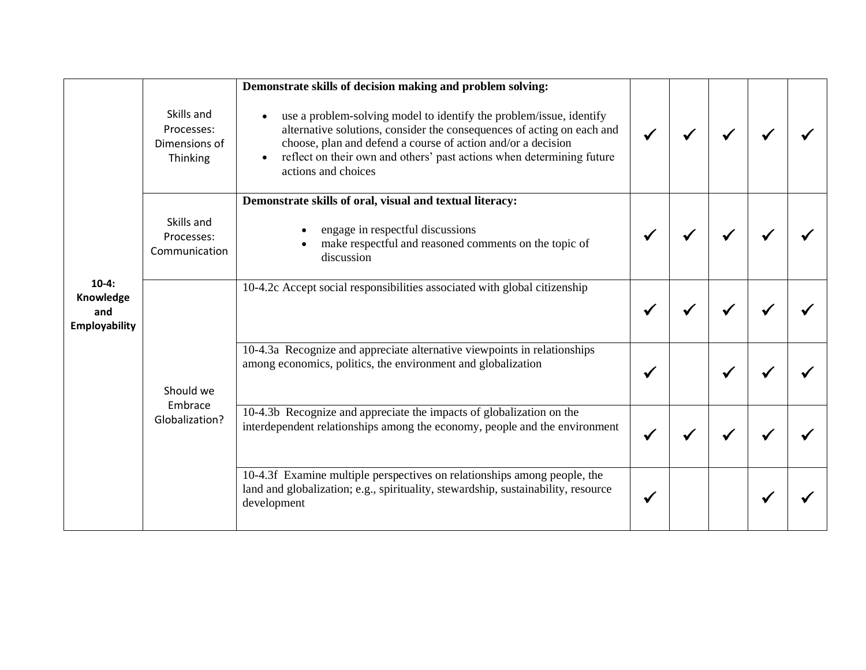|                                                     |                                                       | Demonstrate skills of decision making and problem solving:                                                                                                                                                                                                                                                                              |  |  |  |
|-----------------------------------------------------|-------------------------------------------------------|-----------------------------------------------------------------------------------------------------------------------------------------------------------------------------------------------------------------------------------------------------------------------------------------------------------------------------------------|--|--|--|
|                                                     | Skills and<br>Processes:<br>Dimensions of<br>Thinking | use a problem-solving model to identify the problem/issue, identify<br>$\bullet$<br>alternative solutions, consider the consequences of acting on each and<br>choose, plan and defend a course of action and/or a decision<br>reflect on their own and others' past actions when determining future<br>$\bullet$<br>actions and choices |  |  |  |
|                                                     |                                                       | Demonstrate skills of oral, visual and textual literacy:                                                                                                                                                                                                                                                                                |  |  |  |
| $10-4:$<br>Knowledge<br>and<br><b>Employability</b> | Skills and<br>Processes:<br>Communication             | engage in respectful discussions<br>make respectful and reasoned comments on the topic of<br>discussion                                                                                                                                                                                                                                 |  |  |  |
|                                                     |                                                       | 10-4.2c Accept social responsibilities associated with global citizenship                                                                                                                                                                                                                                                               |  |  |  |
|                                                     | Should we                                             | 10-4.3a Recognize and appreciate alternative viewpoints in relationships<br>among economics, politics, the environment and globalization                                                                                                                                                                                                |  |  |  |
|                                                     | Embrace<br>Globalization?                             | 10-4.3b Recognize and appreciate the impacts of globalization on the<br>interdependent relationships among the economy, people and the environment                                                                                                                                                                                      |  |  |  |
|                                                     |                                                       | 10-4.3f Examine multiple perspectives on relationships among people, the<br>land and globalization; e.g., spirituality, stewardship, sustainability, resource<br>development                                                                                                                                                            |  |  |  |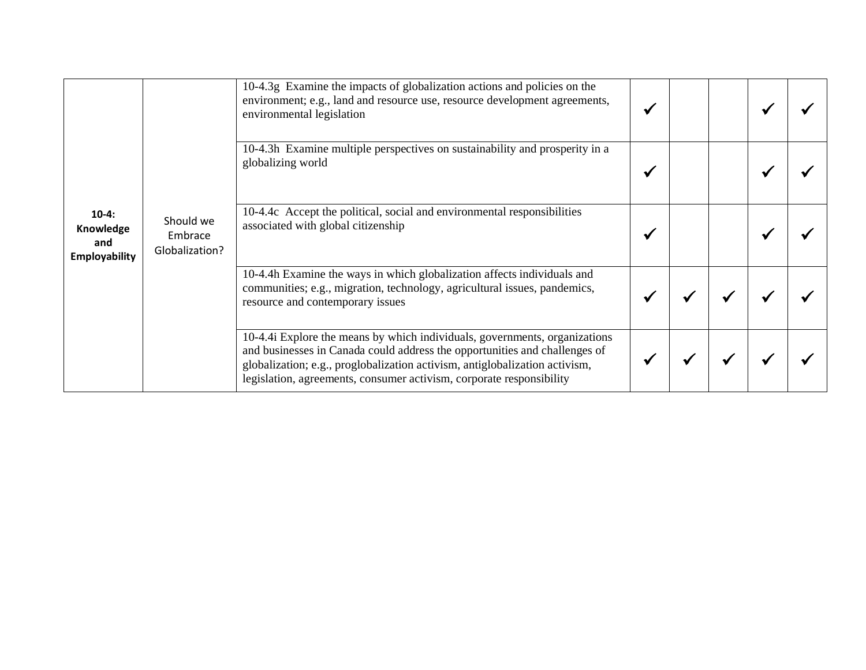| $10-4:$<br>Knowledge<br>and<br><b>Employability</b> |                                        | 10-4.3g Examine the impacts of globalization actions and policies on the<br>environment; e.g., land and resource use, resource development agreements,<br>environmental legislation                                                                                                                             |  |  |  |
|-----------------------------------------------------|----------------------------------------|-----------------------------------------------------------------------------------------------------------------------------------------------------------------------------------------------------------------------------------------------------------------------------------------------------------------|--|--|--|
|                                                     |                                        | 10-4.3h Examine multiple perspectives on sustainability and prosperity in a<br>globalizing world                                                                                                                                                                                                                |  |  |  |
|                                                     | Should we<br>Embrace<br>Globalization? | 10-4.4c Accept the political, social and environmental responsibilities<br>associated with global citizenship                                                                                                                                                                                                   |  |  |  |
|                                                     |                                        | 10-4.4h Examine the ways in which globalization affects individuals and<br>communities; e.g., migration, technology, agricultural issues, pandemics,<br>resource and contemporary issues                                                                                                                        |  |  |  |
|                                                     |                                        | 10-4.4i Explore the means by which individuals, governments, organizations<br>and businesses in Canada could address the opportunities and challenges of<br>globalization; e.g., proglobalization activism, antiglobalization activism,<br>legislation, agreements, consumer activism, corporate responsibility |  |  |  |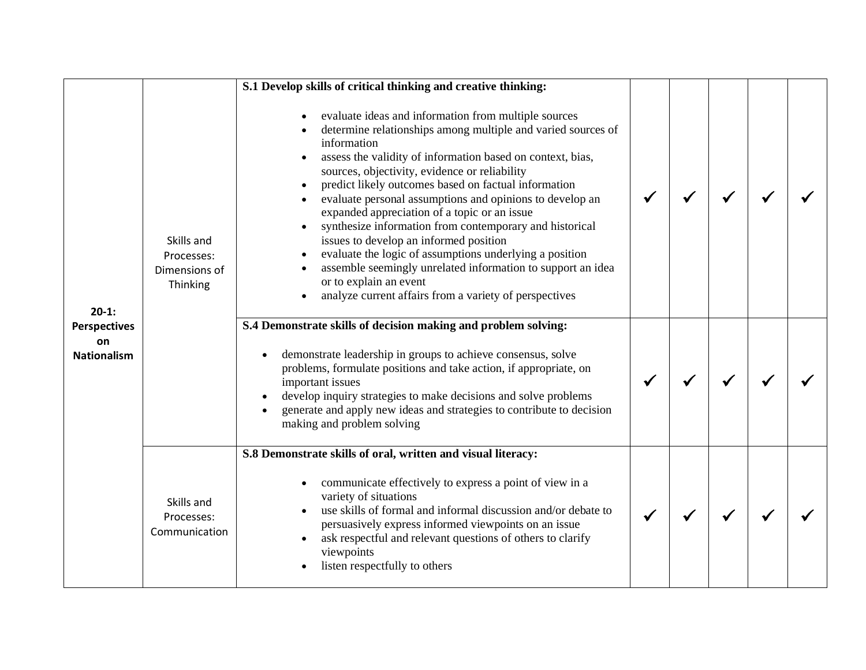|                                                            |                                                       | S.1 Develop skills of critical thinking and creative thinking:                                                                                                                                                                                                                                                                                                                                                                                                                                                                                                                                                                                                                                                                            |  |  |  |
|------------------------------------------------------------|-------------------------------------------------------|-------------------------------------------------------------------------------------------------------------------------------------------------------------------------------------------------------------------------------------------------------------------------------------------------------------------------------------------------------------------------------------------------------------------------------------------------------------------------------------------------------------------------------------------------------------------------------------------------------------------------------------------------------------------------------------------------------------------------------------------|--|--|--|
| $20-1:$<br><b>Perspectives</b><br>on<br><b>Nationalism</b> | Skills and<br>Processes:<br>Dimensions of<br>Thinking | evaluate ideas and information from multiple sources<br>determine relationships among multiple and varied sources of<br>information<br>assess the validity of information based on context, bias,<br>sources, objectivity, evidence or reliability<br>predict likely outcomes based on factual information<br>evaluate personal assumptions and opinions to develop an<br>expanded appreciation of a topic or an issue<br>synthesize information from contemporary and historical<br>issues to develop an informed position<br>evaluate the logic of assumptions underlying a position<br>assemble seemingly unrelated information to support an idea<br>or to explain an event<br>analyze current affairs from a variety of perspectives |  |  |  |
|                                                            |                                                       | S.4 Demonstrate skills of decision making and problem solving:<br>demonstrate leadership in groups to achieve consensus, solve<br>$\bullet$<br>problems, formulate positions and take action, if appropriate, on<br>important issues<br>develop inquiry strategies to make decisions and solve problems<br>generate and apply new ideas and strategies to contribute to decision<br>making and problem solving                                                                                                                                                                                                                                                                                                                            |  |  |  |
|                                                            | Skills and<br>Processes:<br>Communication             | S.8 Demonstrate skills of oral, written and visual literacy:<br>communicate effectively to express a point of view in a<br>$\bullet$<br>variety of situations<br>use skills of formal and informal discussion and/or debate to<br>persuasively express informed viewpoints on an issue<br>ask respectful and relevant questions of others to clarify<br>viewpoints<br>listen respectfully to others                                                                                                                                                                                                                                                                                                                                       |  |  |  |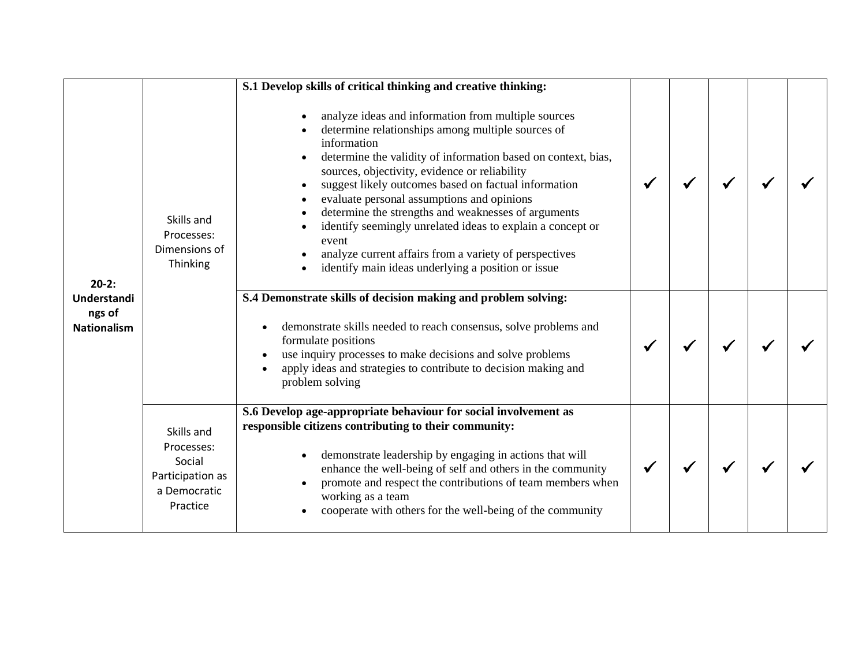|                                                        |                                                                                    | S.1 Develop skills of critical thinking and creative thinking:                                                                                                                                                                                                                                                                                                                                                                                                                                                                                                                                |  |  |  |
|--------------------------------------------------------|------------------------------------------------------------------------------------|-----------------------------------------------------------------------------------------------------------------------------------------------------------------------------------------------------------------------------------------------------------------------------------------------------------------------------------------------------------------------------------------------------------------------------------------------------------------------------------------------------------------------------------------------------------------------------------------------|--|--|--|
| $20-2:$<br>Understandi<br>ngs of<br><b>Nationalism</b> | Skills and<br>Processes:<br>Dimensions of<br>Thinking                              | analyze ideas and information from multiple sources<br>determine relationships among multiple sources of<br>information<br>determine the validity of information based on context, bias,<br>sources, objectivity, evidence or reliability<br>suggest likely outcomes based on factual information<br>evaluate personal assumptions and opinions<br>determine the strengths and weaknesses of arguments<br>identify seemingly unrelated ideas to explain a concept or<br>event<br>analyze current affairs from a variety of perspectives<br>identify main ideas underlying a position or issue |  |  |  |
|                                                        |                                                                                    | S.4 Demonstrate skills of decision making and problem solving:<br>demonstrate skills needed to reach consensus, solve problems and<br>formulate positions<br>use inquiry processes to make decisions and solve problems<br>apply ideas and strategies to contribute to decision making and<br>problem solving                                                                                                                                                                                                                                                                                 |  |  |  |
|                                                        | Skills and<br>Processes:<br>Social<br>Participation as<br>a Democratic<br>Practice | S.6 Develop age-appropriate behaviour for social involvement as<br>responsible citizens contributing to their community:<br>demonstrate leadership by engaging in actions that will<br>enhance the well-being of self and others in the community<br>promote and respect the contributions of team members when<br>working as a team<br>cooperate with others for the well-being of the community                                                                                                                                                                                             |  |  |  |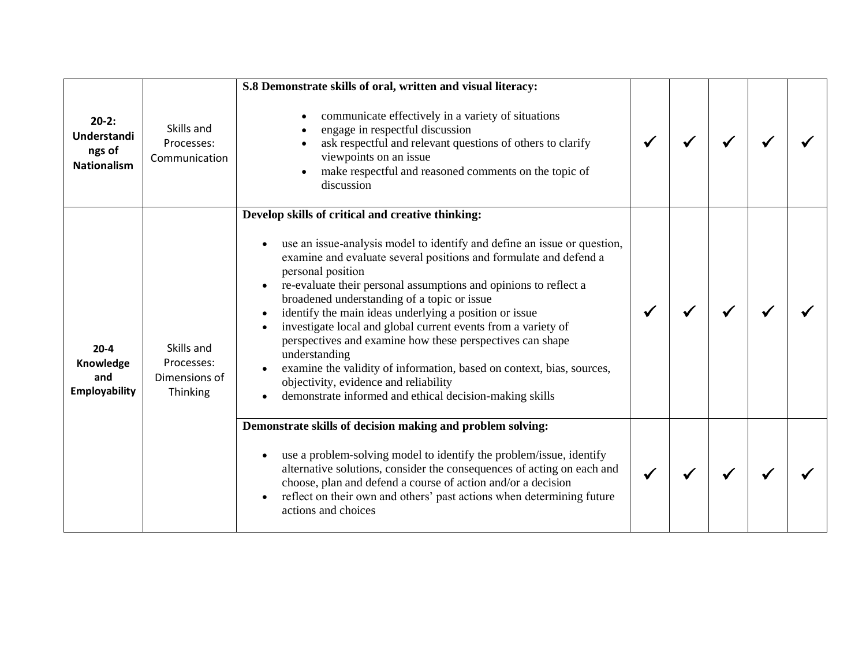|                                                        |                                                       | S.8 Demonstrate skills of oral, written and visual literacy:                                                                                                                                                                                                                                                                                                                                                                                                                                                                                                                                                                                                                                                                                                            |  |  |  |
|--------------------------------------------------------|-------------------------------------------------------|-------------------------------------------------------------------------------------------------------------------------------------------------------------------------------------------------------------------------------------------------------------------------------------------------------------------------------------------------------------------------------------------------------------------------------------------------------------------------------------------------------------------------------------------------------------------------------------------------------------------------------------------------------------------------------------------------------------------------------------------------------------------------|--|--|--|
| $20-2:$<br>Understandi<br>ngs of<br><b>Nationalism</b> | Skills and<br>Processes:<br>Communication             | communicate effectively in a variety of situations<br>engage in respectful discussion<br>ask respectful and relevant questions of others to clarify<br>viewpoints on an issue<br>make respectful and reasoned comments on the topic of<br>$\bullet$<br>discussion                                                                                                                                                                                                                                                                                                                                                                                                                                                                                                       |  |  |  |
| $20 - 4$<br>Knowledge<br>and<br><b>Employability</b>   | Skills and<br>Processes:<br>Dimensions of<br>Thinking | Develop skills of critical and creative thinking:<br>use an issue-analysis model to identify and define an issue or question,<br>$\bullet$<br>examine and evaluate several positions and formulate and defend a<br>personal position<br>re-evaluate their personal assumptions and opinions to reflect a<br>$\bullet$<br>broadened understanding of a topic or issue<br>identify the main ideas underlying a position or issue<br>$\bullet$<br>investigate local and global current events from a variety of<br>perspectives and examine how these perspectives can shape<br>understanding<br>examine the validity of information, based on context, bias, sources,<br>objectivity, evidence and reliability<br>demonstrate informed and ethical decision-making skills |  |  |  |
|                                                        |                                                       | Demonstrate skills of decision making and problem solving:<br>use a problem-solving model to identify the problem/issue, identify<br>alternative solutions, consider the consequences of acting on each and<br>choose, plan and defend a course of action and/or a decision<br>reflect on their own and others' past actions when determining future<br>actions and choices                                                                                                                                                                                                                                                                                                                                                                                             |  |  |  |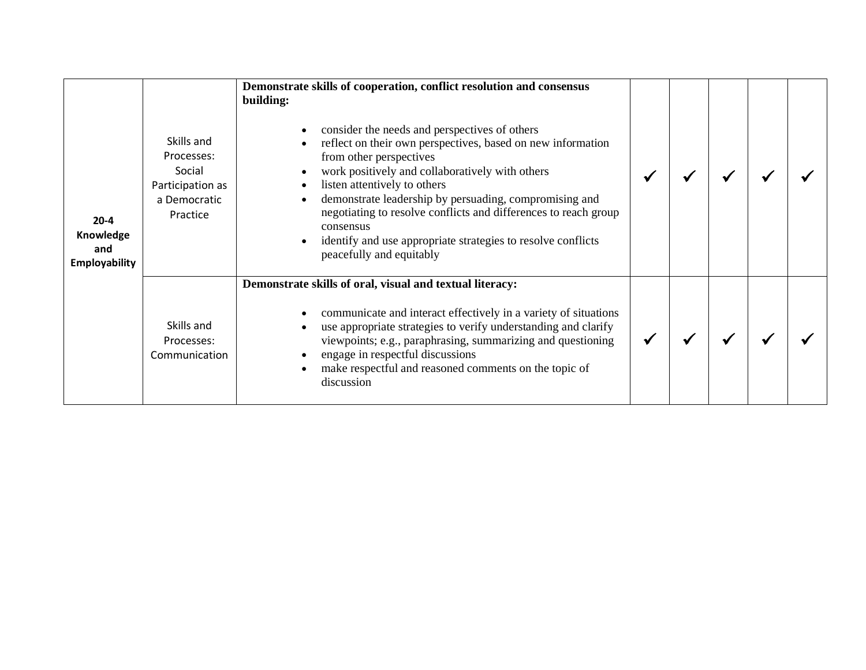| $20 - 4$<br>Knowledge<br>and<br><b>Employability</b> | Skills and<br>Processes:<br>Social<br>Participation as<br>a Democratic<br>Practice | Demonstrate skills of cooperation, conflict resolution and consensus<br>building:<br>consider the needs and perspectives of others<br>reflect on their own perspectives, based on new information<br>from other perspectives<br>work positively and collaboratively with others<br>listen attentively to others<br>demonstrate leadership by persuading, compromising and<br>$\bullet$<br>negotiating to resolve conflicts and differences to reach group<br>consensus<br>identify and use appropriate strategies to resolve conflicts<br>peacefully and equitably |  |  |  |
|------------------------------------------------------|------------------------------------------------------------------------------------|--------------------------------------------------------------------------------------------------------------------------------------------------------------------------------------------------------------------------------------------------------------------------------------------------------------------------------------------------------------------------------------------------------------------------------------------------------------------------------------------------------------------------------------------------------------------|--|--|--|
|                                                      | Skills and<br>Processes:<br>Communication                                          | Demonstrate skills of oral, visual and textual literacy:<br>communicate and interact effectively in a variety of situations<br>use appropriate strategies to verify understanding and clarify<br>viewpoints; e.g., paraphrasing, summarizing and questioning<br>engage in respectful discussions<br>make respectful and reasoned comments on the topic of<br>discussion                                                                                                                                                                                            |  |  |  |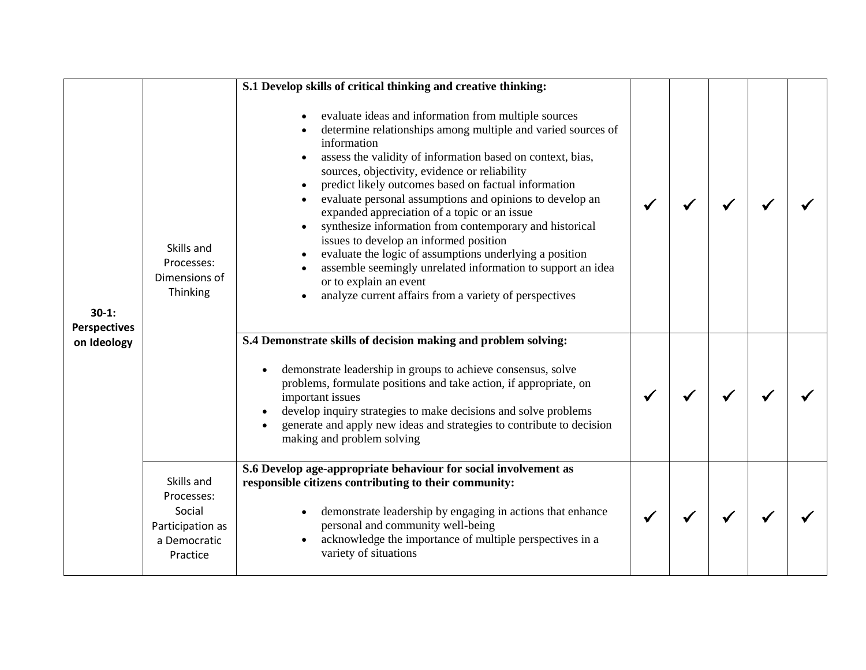|                                               |                                                                                    | S.1 Develop skills of critical thinking and creative thinking:                                                                                                                                                                                                                                                                                                                                                                                                                                                                                                                                                                                                                                                                            |  |  |  |
|-----------------------------------------------|------------------------------------------------------------------------------------|-------------------------------------------------------------------------------------------------------------------------------------------------------------------------------------------------------------------------------------------------------------------------------------------------------------------------------------------------------------------------------------------------------------------------------------------------------------------------------------------------------------------------------------------------------------------------------------------------------------------------------------------------------------------------------------------------------------------------------------------|--|--|--|
| $30-1:$<br><b>Perspectives</b><br>on Ideology | Skills and<br>Processes:<br>Dimensions of<br>Thinking                              | evaluate ideas and information from multiple sources<br>determine relationships among multiple and varied sources of<br>information<br>assess the validity of information based on context, bias,<br>sources, objectivity, evidence or reliability<br>predict likely outcomes based on factual information<br>evaluate personal assumptions and opinions to develop an<br>expanded appreciation of a topic or an issue<br>synthesize information from contemporary and historical<br>issues to develop an informed position<br>evaluate the logic of assumptions underlying a position<br>assemble seemingly unrelated information to support an idea<br>or to explain an event<br>analyze current affairs from a variety of perspectives |  |  |  |
|                                               |                                                                                    | S.4 Demonstrate skills of decision making and problem solving:<br>demonstrate leadership in groups to achieve consensus, solve<br>problems, formulate positions and take action, if appropriate, on<br>important issues<br>develop inquiry strategies to make decisions and solve problems<br>generate and apply new ideas and strategies to contribute to decision<br>making and problem solving                                                                                                                                                                                                                                                                                                                                         |  |  |  |
|                                               | Skills and<br>Processes:<br>Social<br>Participation as<br>a Democratic<br>Practice | S.6 Develop age-appropriate behaviour for social involvement as<br>responsible citizens contributing to their community:<br>demonstrate leadership by engaging in actions that enhance<br>personal and community well-being<br>acknowledge the importance of multiple perspectives in a<br>variety of situations                                                                                                                                                                                                                                                                                                                                                                                                                          |  |  |  |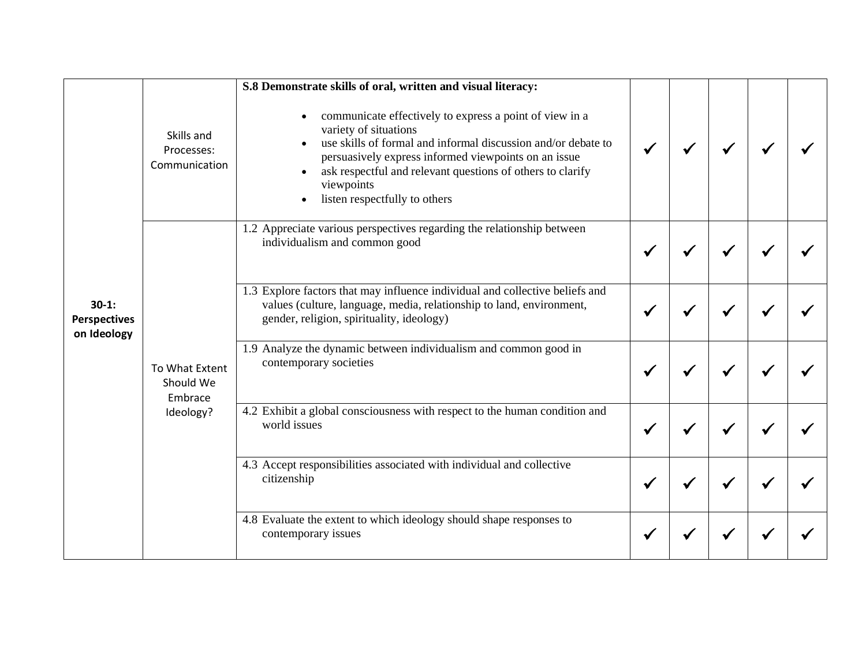|                                               |                                                     | S.8 Demonstrate skills of oral, written and visual literacy:                                                                                                                                                                                                                                                           |  |  |  |
|-----------------------------------------------|-----------------------------------------------------|------------------------------------------------------------------------------------------------------------------------------------------------------------------------------------------------------------------------------------------------------------------------------------------------------------------------|--|--|--|
| $30-1:$<br><b>Perspectives</b><br>on Ideology | Skills and<br>Processes:<br>Communication           | communicate effectively to express a point of view in a<br>variety of situations<br>use skills of formal and informal discussion and/or debate to<br>persuasively express informed viewpoints on an issue<br>ask respectful and relevant questions of others to clarify<br>viewpoints<br>listen respectfully to others |  |  |  |
|                                               | To What Extent<br>Should We<br>Embrace<br>Ideology? | 1.2 Appreciate various perspectives regarding the relationship between<br>individualism and common good                                                                                                                                                                                                                |  |  |  |
|                                               |                                                     | 1.3 Explore factors that may influence individual and collective beliefs and<br>values (culture, language, media, relationship to land, environment,<br>gender, religion, spirituality, ideology)                                                                                                                      |  |  |  |
|                                               |                                                     | 1.9 Analyze the dynamic between individualism and common good in<br>contemporary societies                                                                                                                                                                                                                             |  |  |  |
|                                               |                                                     | 4.2 Exhibit a global consciousness with respect to the human condition and<br>world issues                                                                                                                                                                                                                             |  |  |  |
|                                               |                                                     | 4.3 Accept responsibilities associated with individual and collective<br>citizenship                                                                                                                                                                                                                                   |  |  |  |
|                                               |                                                     | 4.8 Evaluate the extent to which ideology should shape responses to<br>contemporary issues                                                                                                                                                                                                                             |  |  |  |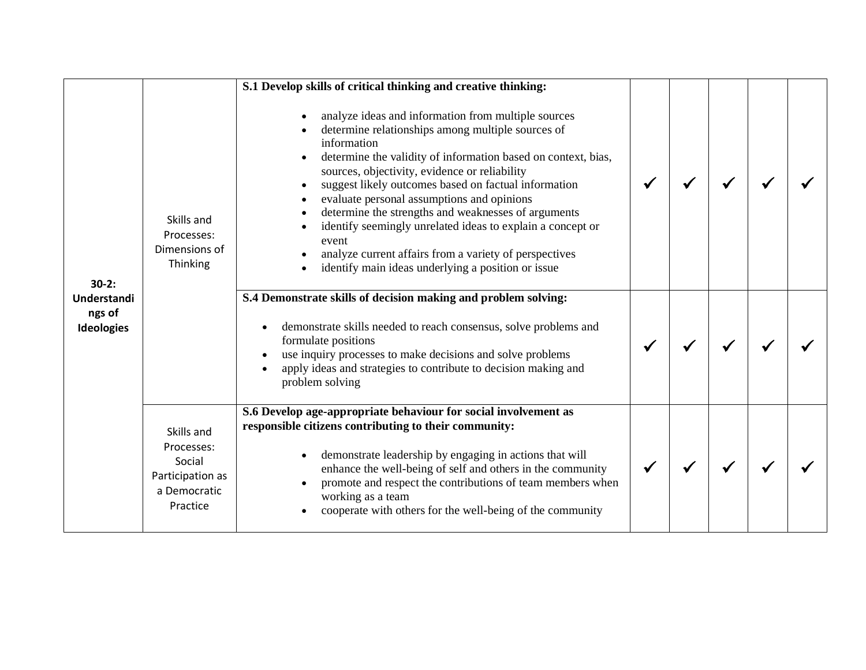|                                                       |                                                                                    | S.1 Develop skills of critical thinking and creative thinking:                                                                                                                                                                                                                                                                                                                                                                                                                                                                                                                                |  |  |  |
|-------------------------------------------------------|------------------------------------------------------------------------------------|-----------------------------------------------------------------------------------------------------------------------------------------------------------------------------------------------------------------------------------------------------------------------------------------------------------------------------------------------------------------------------------------------------------------------------------------------------------------------------------------------------------------------------------------------------------------------------------------------|--|--|--|
| $30-2:$<br>Understandi<br>ngs of<br><b>Ideologies</b> | Skills and<br>Processes:<br>Dimensions of<br>Thinking                              | analyze ideas and information from multiple sources<br>determine relationships among multiple sources of<br>information<br>determine the validity of information based on context, bias,<br>sources, objectivity, evidence or reliability<br>suggest likely outcomes based on factual information<br>evaluate personal assumptions and opinions<br>determine the strengths and weaknesses of arguments<br>identify seemingly unrelated ideas to explain a concept or<br>event<br>analyze current affairs from a variety of perspectives<br>identify main ideas underlying a position or issue |  |  |  |
|                                                       |                                                                                    | S.4 Demonstrate skills of decision making and problem solving:<br>demonstrate skills needed to reach consensus, solve problems and<br>formulate positions<br>use inquiry processes to make decisions and solve problems<br>apply ideas and strategies to contribute to decision making and<br>problem solving                                                                                                                                                                                                                                                                                 |  |  |  |
|                                                       | Skills and<br>Processes:<br>Social<br>Participation as<br>a Democratic<br>Practice | S.6 Develop age-appropriate behaviour for social involvement as<br>responsible citizens contributing to their community:<br>demonstrate leadership by engaging in actions that will<br>enhance the well-being of self and others in the community<br>promote and respect the contributions of team members when<br>working as a team<br>cooperate with others for the well-being of the community                                                                                                                                                                                             |  |  |  |